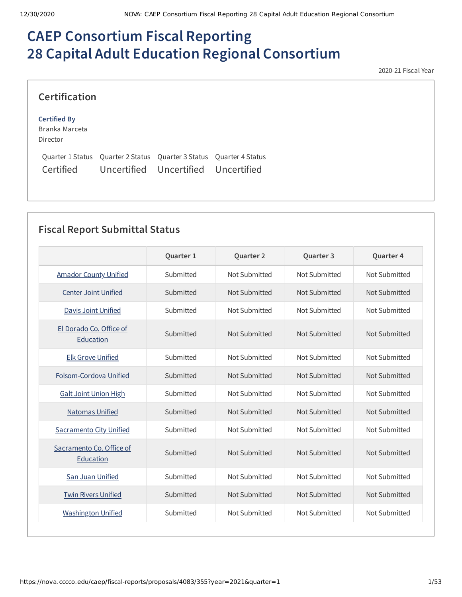# **CAEP Consortium Fiscal Reporting 28 Capital Adult Education Regional Consortium**

2020-21 Fiscal Year

### **Certification**

#### **Certified By**

Branka Marceta Director

|           | Ouarter 1 Status Ouarter 2 Status Ouarter 3 Status Ouarter 4 Status |  |
|-----------|---------------------------------------------------------------------|--|
| Certified | Uncertified Uncertified Uncertified                                 |  |

## **Fiscal Report Submittal Status**

|                                       | Quarter 1 | Quarter 2     | Quarter 3     | Quarter 4     |
|---------------------------------------|-----------|---------------|---------------|---------------|
| <b>Amador County Unified</b>          | Submitted | Not Submitted | Not Submitted | Not Submitted |
| <b>Center Joint Unified</b>           | Submitted | Not Submitted | Not Submitted | Not Submitted |
| Davis Joint Unified                   | Submitted | Not Submitted | Not Submitted | Not Submitted |
| El Dorado Co. Office of<br>Education  | Submitted | Not Submitted | Not Submitted | Not Submitted |
| <b>Elk Grove Unified</b>              | Submitted | Not Submitted | Not Submitted | Not Submitted |
| Folsom-Cordova Unified                | Submitted | Not Submitted | Not Submitted | Not Submitted |
| <b>Galt Joint Union High</b>          | Submitted | Not Submitted | Not Submitted | Not Submitted |
| <b>Natomas Unified</b>                | Submitted | Not Submitted | Not Submitted | Not Submitted |
| <b>Sacramento City Unified</b>        | Submitted | Not Submitted | Not Submitted | Not Submitted |
| Sacramento Co. Office of<br>Education | Submitted | Not Submitted | Not Submitted | Not Submitted |
| San Juan Unified                      | Submitted | Not Submitted | Not Submitted | Not Submitted |
| <b>Twin Rivers Unified</b>            | Submitted | Not Submitted | Not Submitted | Not Submitted |
| <b>Washington Unified</b>             | Submitted | Not Submitted | Not Submitted | Not Submitted |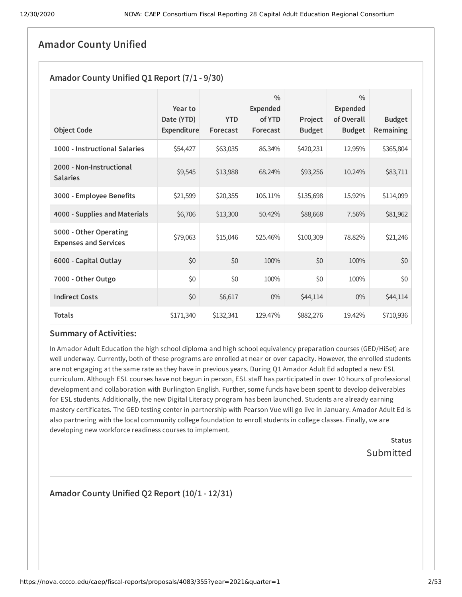### **Amador County Unified**

### **Amador County Unified Q1 Report (7/1 - 9/30)**

| <b>Object Code</b>                                     | Year to<br>Date (YTD)<br>Expenditure | <b>YTD</b><br>Forecast | $\frac{0}{0}$<br><b>Expended</b><br>of YTD<br>Forecast | Project<br><b>Budget</b> | $\frac{0}{0}$<br><b>Expended</b><br>of Overall<br><b>Budget</b> | <b>Budget</b><br><b>Remaining</b> |
|--------------------------------------------------------|--------------------------------------|------------------------|--------------------------------------------------------|--------------------------|-----------------------------------------------------------------|-----------------------------------|
| 1000 - Instructional Salaries                          | \$54,427                             | \$63,035               | 86.34%                                                 | \$420,231                | 12.95%                                                          | \$365,804                         |
| 2000 - Non-Instructional<br><b>Salaries</b>            | \$9,545                              | \$13,988               | 68.24%                                                 | \$93,256                 | 10.24%                                                          | \$83,711                          |
| 3000 - Employee Benefits                               | \$21,599                             | \$20,355               | 106.11%                                                | \$135,698                | 15.92%                                                          | \$114,099                         |
| 4000 - Supplies and Materials                          | \$6,706                              | \$13,300               | 50.42%                                                 | \$88,668                 | 7.56%                                                           | \$81,962                          |
| 5000 - Other Operating<br><b>Expenses and Services</b> | \$79,063                             | \$15,046               | 525.46%                                                | \$100,309                | 78.82%                                                          | \$21,246                          |
| 6000 - Capital Outlay                                  | \$0                                  | \$0                    | 100%                                                   | \$0                      | 100%                                                            | \$0                               |
| 7000 - Other Outgo                                     | \$0                                  | \$0                    | 100%                                                   | \$0                      | 100%                                                            | \$0                               |
| <b>Indirect Costs</b>                                  | \$0                                  | \$6,617                | $0\%$                                                  | \$44,114                 | 0%                                                              | \$44,114                          |
| <b>Totals</b>                                          | \$171,340                            | \$132,341              | 129.47%                                                | \$882,276                | 19.42%                                                          | \$710,936                         |

### **Summary of Activities:**

In Amador Adult Education the high school diploma and high school equivalency preparation courses (GED/HiSet) are well underway. Currently, both of these programs are enrolled at near or over capacity. However, the enrolled students are not engaging at the same rate as they have in previous years. During Q1 Amador Adult Ed adopted a new ESL curriculum. Although ESL courses have not begun in person, ESL staff has participated in over 10 hours of professional development and collaboration with Burlington English. Further, some funds have been spent to develop deliverables for ESL students. Additionally, the new Digital Literacy program has been launched. Students are already earning mastery certificates. The GED testing center in partnership with Pearson Vue will go live in January. Amador Adult Ed is also partnering with the local community college foundation to enroll students in college classes. Finally, we are developing new workforce readiness courses to implement.

> **Status** Submitted

### **Amador County Unified Q2 Report (10/1 - 12/31)**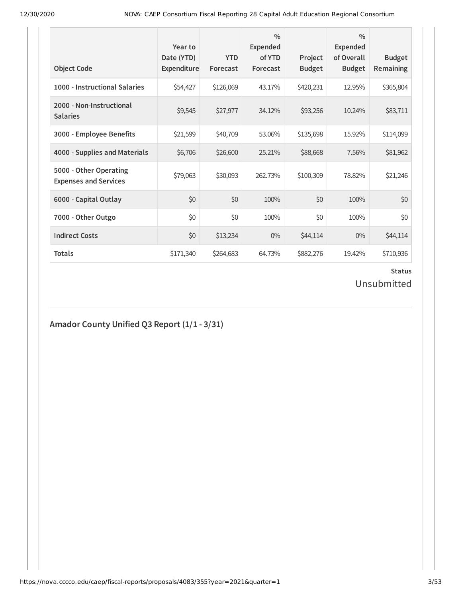| <b>Object Code</b>                                     | Year to<br>Date (YTD)<br><b>Expenditure</b> | <b>YTD</b><br>Forecast | $\frac{0}{0}$<br><b>Expended</b><br>of YTD<br>Forecast | Project<br><b>Budget</b> | $\frac{0}{0}$<br><b>Expended</b><br>of Overall<br><b>Budget</b> | <b>Budget</b><br><b>Remaining</b> |
|--------------------------------------------------------|---------------------------------------------|------------------------|--------------------------------------------------------|--------------------------|-----------------------------------------------------------------|-----------------------------------|
| 1000 - Instructional Salaries                          | \$54,427                                    | \$126,069              | 43.17%                                                 | \$420,231                | 12.95%                                                          | \$365,804                         |
| 2000 - Non-Instructional<br><b>Salaries</b>            | \$9,545                                     | \$27,977               | 34.12%                                                 | \$93,256                 | 10.24%                                                          | \$83,711                          |
| 3000 - Employee Benefits                               | \$21,599                                    | \$40,709               | 53.06%                                                 | \$135,698                | 15.92%                                                          | \$114,099                         |
| 4000 - Supplies and Materials                          | \$6,706                                     | \$26,600               | 25.21%                                                 | \$88,668                 | 7.56%                                                           | \$81,962                          |
| 5000 - Other Operating<br><b>Expenses and Services</b> | \$79,063                                    | \$30,093               | 262.73%                                                | \$100,309                | 78.82%                                                          | \$21,246                          |
| 6000 - Capital Outlay                                  | \$0                                         | \$0                    | 100%                                                   | \$0                      | 100%                                                            | \$0                               |
| 7000 - Other Outgo                                     | \$0                                         | \$0                    | 100%                                                   | \$0                      | 100%                                                            | \$0                               |
| <b>Indirect Costs</b>                                  | \$0                                         | \$13,234               | $0\%$                                                  | \$44,114                 | $0\%$                                                           | \$44,114                          |
| <b>Totals</b>                                          | \$171,340                                   | \$264,683              | 64.73%                                                 | \$882,276                | 19.42%                                                          | \$710,936                         |

Unsubmitted

### **Amador County Unified Q3 Report (1/1 - 3/31)**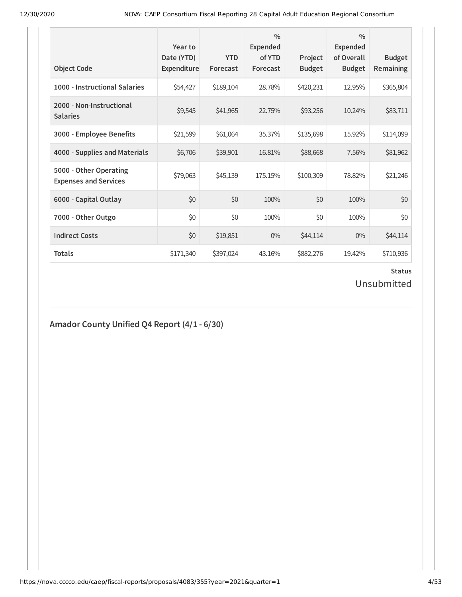| <b>Object Code</b>                                     | Year to<br>Date (YTD)<br>Expenditure | <b>YTD</b><br>Forecast | $\frac{0}{0}$<br><b>Expended</b><br>of YTD<br>Forecast | Project<br><b>Budget</b> | $\frac{0}{0}$<br>Expended<br>of Overall<br><b>Budget</b> | <b>Budget</b><br><b>Remaining</b> |
|--------------------------------------------------------|--------------------------------------|------------------------|--------------------------------------------------------|--------------------------|----------------------------------------------------------|-----------------------------------|
| 1000 - Instructional Salaries                          | \$54,427                             | \$189,104              | 28.78%                                                 | \$420,231                | 12.95%                                                   | \$365,804                         |
| 2000 - Non-Instructional<br><b>Salaries</b>            | \$9,545                              | \$41,965               | 22.75%                                                 | \$93,256                 | 10.24%                                                   | \$83,711                          |
| 3000 - Employee Benefits                               | \$21,599                             | \$61,064               | 35.37%                                                 | \$135,698                | 15.92%                                                   | \$114,099                         |
| 4000 - Supplies and Materials                          | \$6,706                              | \$39,901               | 16.81%                                                 | \$88,668                 | 7.56%                                                    | \$81,962                          |
| 5000 - Other Operating<br><b>Expenses and Services</b> | \$79,063                             | \$45,139               | 175.15%                                                | \$100,309                | 78.82%                                                   | \$21,246                          |
| 6000 - Capital Outlay                                  | \$0                                  | \$0                    | 100%                                                   | \$0                      | 100%                                                     | \$0                               |
| 7000 - Other Outgo                                     | \$0                                  | \$0                    | 100%                                                   | \$0                      | 100%                                                     | \$0                               |
| <b>Indirect Costs</b>                                  | \$0                                  | \$19,851               | $0\%$                                                  | \$44,114                 | $0\%$                                                    | \$44,114                          |
| <b>Totals</b>                                          | \$171,340                            | \$397,024              | 43.16%                                                 | \$882,276                | 19.42%                                                   | \$710,936                         |

Unsubmitted

### **Amador County Unified Q4 Report (4/1 - 6/30)**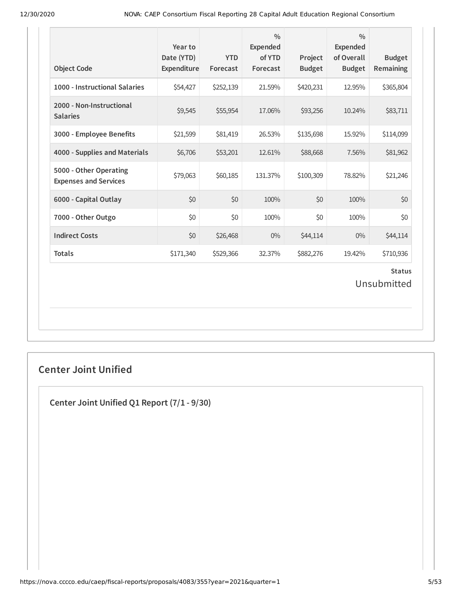| <b>Object Code</b>                                     | Year to<br>Date (YTD)<br>Expenditure | <b>YTD</b><br>Forecast | $\frac{0}{0}$<br>Expended<br>of YTD<br>Forecast | Project<br><b>Budget</b> | $\frac{0}{0}$<br>Expended<br>of Overall<br><b>Budget</b> | <b>Budget</b><br><b>Remaining</b> |
|--------------------------------------------------------|--------------------------------------|------------------------|-------------------------------------------------|--------------------------|----------------------------------------------------------|-----------------------------------|
| 1000 - Instructional Salaries                          | \$54,427                             | \$252,139              | 21.59%                                          | \$420,231                | 12.95%                                                   | \$365,804                         |
| 2000 - Non-Instructional<br><b>Salaries</b>            | \$9,545                              | \$55,954               | 17.06%                                          | \$93,256                 | 10.24%                                                   | \$83,711                          |
| 3000 - Employee Benefits                               | \$21,599                             | \$81,419               | 26.53%                                          | \$135,698                | 15.92%                                                   | \$114,099                         |
| 4000 - Supplies and Materials                          | \$6,706                              | \$53,201               | 12.61%                                          | \$88,668                 | 7.56%                                                    | \$81,962                          |
| 5000 - Other Operating<br><b>Expenses and Services</b> | \$79,063                             | \$60,185               | 131.37%                                         | \$100,309                | 78.82%                                                   | \$21,246                          |
| 6000 - Capital Outlay                                  | \$0                                  | \$0                    | 100%                                            | \$0                      | 100%                                                     | \$0                               |
| 7000 - Other Outgo                                     | \$0                                  | \$0                    | 100%                                            | \$0                      | 100%                                                     | \$0                               |
| <b>Indirect Costs</b>                                  | \$0                                  | \$26,468               | $0\%$                                           | \$44,114                 | $0\%$                                                    | \$44,114                          |
| <b>Totals</b>                                          | \$171,340                            | \$529,366              | 32.37%                                          | \$882,276                | 19.42%                                                   | \$710,936                         |
|                                                        |                                      |                        |                                                 |                          |                                                          | <b>Status</b><br>Unsubmitted      |

## **Center Joint Unified**

**Center Joint Unified Q1 Report (7/1 - 9/30)**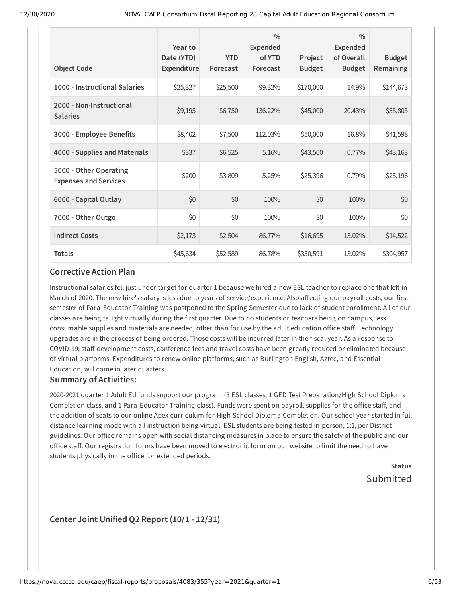|                                                        | Year to<br>Date (YTD) | <b>YTD</b> | $\frac{0}{0}$<br><b>Expended</b><br>of YTD | Project       | $\frac{0}{0}$<br><b>Expended</b><br>of Overall | <b>Budget</b> |
|--------------------------------------------------------|-----------------------|------------|--------------------------------------------|---------------|------------------------------------------------|---------------|
| <b>Object Code</b>                                     | Expenditure           | Forecast   | Forecast                                   | <b>Budget</b> | <b>Budget</b>                                  | Remaining     |
| 1000 - Instructional Salaries                          | \$25,327              | \$25,500   | 99.32%                                     | \$170,000     | 14.9%                                          | \$144,673     |
| 2000 - Non-Instructional<br><b>Salaries</b>            | \$9,195               | \$6,750    | 136.22%                                    | \$45,000      | 20.43%                                         | \$35,805      |
| 3000 - Employee Benefits                               | \$8,402               | \$7,500    | 112.03%                                    | \$50,000      | 16.8%                                          | \$41,598      |
| 4000 - Supplies and Materials                          | \$337                 | \$6,525    | 5.16%                                      | \$43,500      | 0.77%                                          | \$43,163      |
| 5000 - Other Operating<br><b>Expenses and Services</b> | \$200                 | \$3,809    | 5.25%                                      | \$25,396      | 0.79%                                          | \$25,196      |
| 6000 - Capital Outlay                                  | \$0                   | \$0        | 100%                                       | \$0           | 100%                                           | \$0           |
| 7000 - Other Outgo                                     | \$0                   | \$0        | 100%                                       | \$0           | 100%                                           | \$0           |
| <b>Indirect Costs</b>                                  | \$2,173               | \$2,504    | 86.77%                                     | \$16,695      | 13.02%                                         | \$14,522      |
| <b>Totals</b>                                          | \$45,634              | \$52,589   | 86.78%                                     | \$350,591     | 13.02%                                         | \$304,957     |

### **Corrective Action Plan**

Instructional salaries fell just under target for quarter 1 because we hired a new ESL teacher to replace one that left in March of 2020. The new hire's salary is less due to years of service/experience. Also affecting our payroll costs, our first semester of Para-Educator Training was postponed to the Spring Semester due to lack of student enrollment. All of our classes are being taught virtually during the first quarter. Due to no students or teachers being on campus, less consumable supplies and materials are needed, other than for use by the adult education office staff. Technology upgrades are in the process of being ordered. Those costs will be incurred later in the fiscal year. As a response to COVID-19; staff development costs, conference fees and travel costs have been greatly reduced or eliminated because of virtual platforms. Expenditures to renew online platforms, such as Burlington English, Aztec, and Essential Education, will come in later quarters.

### **Summary of Activities:**

2020-2021 quarter 1 Adult Ed funds support our program (3 ESL classes, 1 GED Test Preparation/High School Diploma Completion class, and 1 Para-Educator Training class). Funds were spent on payroll, supplies for the office staff, and the addition of seats to our online Apex curriculum for High School Diploma Completion. Our school year started in full distance learning mode with all instruction being virtual. ESL students are being tested in-person, 1:1, per District guidelines. Our office remains open with social distancing measures in place to ensure the safety of the public and our office staff. Our registration forms have been moved to electronic form on our website to limit the need to have students physically in the office for extended periods.

> **Status** Submitted

### **Center Joint Unified Q2 Report (10/1 - 12/31)**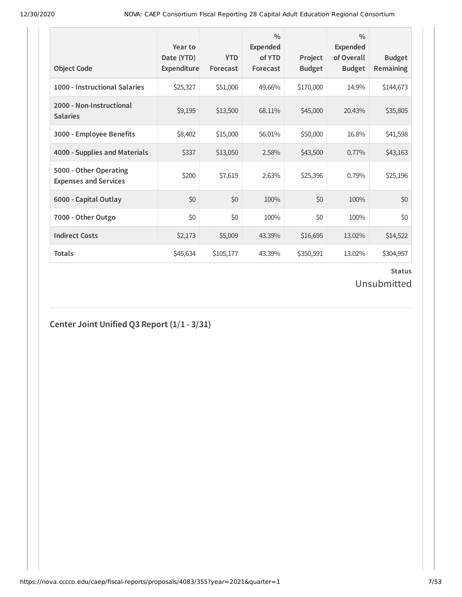| <b>Object Code</b>                                     | Year to<br>Date (YTD)<br>Expenditure | <b>YTD</b><br>Forecast | $\frac{0}{0}$<br>Expended<br>of YTD<br>Forecast | Project<br><b>Budget</b> | $\frac{0}{0}$<br>Expended<br>of Overall<br><b>Budget</b> | <b>Budget</b><br><b>Remaining</b> |
|--------------------------------------------------------|--------------------------------------|------------------------|-------------------------------------------------|--------------------------|----------------------------------------------------------|-----------------------------------|
| 1000 - Instructional Salaries                          | \$25,327                             | \$51,000               | 49.66%                                          | \$170,000                | 14.9%                                                    | \$144,673                         |
| 2000 - Non-Instructional<br><b>Salaries</b>            | \$9,195                              | \$13,500               | 68.11%                                          | \$45,000                 | 20.43%                                                   | \$35,805                          |
| 3000 - Employee Benefits                               | \$8,402                              | \$15,000               | 56.01%                                          | \$50,000                 | 16.8%                                                    | \$41,598                          |
| 4000 - Supplies and Materials                          | \$337                                | \$13,050               | 2.58%                                           | \$43,500                 | $0.77\%$                                                 | \$43,163                          |
| 5000 - Other Operating<br><b>Expenses and Services</b> | \$200                                | \$7,619                | 2.63%                                           | \$25,396                 | 0.79%                                                    | \$25,196                          |
| 6000 - Capital Outlay                                  | \$0                                  | \$0                    | 100%                                            | \$0                      | 100%                                                     | \$0                               |
| 7000 - Other Outgo                                     | \$0                                  | \$0                    | 100%                                            | \$0                      | 100%                                                     | \$0                               |
| <b>Indirect Costs</b>                                  | \$2,173                              | \$5,009                | 43.39%                                          | \$16,695                 | 13.02%                                                   | \$14,522                          |
| <b>Totals</b>                                          | \$45,634                             | \$105,177              | 43.39%                                          | \$350,591                | 13.02%                                                   | \$304,957                         |

Unsubmitted

### **Center Joint Unified Q3 Report (1/1 - 3/31)**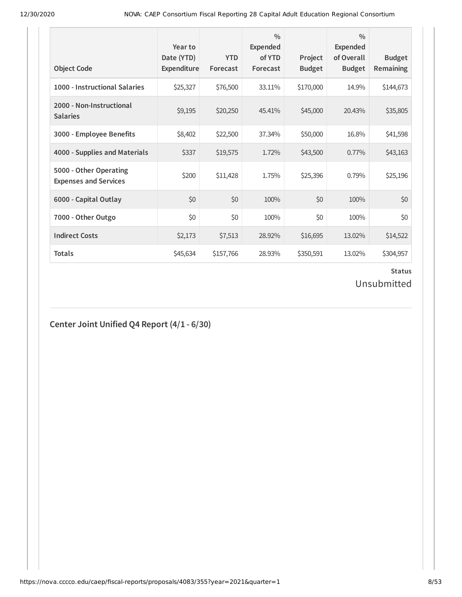| <b>Object Code</b>                                     | Year to<br>Date (YTD)<br>Expenditure | <b>YTD</b><br>Forecast | $\frac{0}{0}$<br>Expended<br>of YTD<br>Forecast | Project<br><b>Budget</b> | $\frac{0}{0}$<br>Expended<br>of Overall<br><b>Budget</b> | <b>Budget</b><br><b>Remaining</b> |
|--------------------------------------------------------|--------------------------------------|------------------------|-------------------------------------------------|--------------------------|----------------------------------------------------------|-----------------------------------|
| 1000 - Instructional Salaries                          | \$25,327                             | \$76,500               | 33.11%                                          | \$170,000                | 14.9%                                                    | \$144,673                         |
| 2000 - Non-Instructional<br><b>Salaries</b>            | \$9,195                              | \$20,250               | 45.41%                                          | \$45,000                 | 20.43%                                                   | \$35,805                          |
| 3000 - Employee Benefits                               | \$8,402                              | \$22,500               | 37.34%                                          | \$50,000                 | 16.8%                                                    | \$41,598                          |
| 4000 - Supplies and Materials                          | \$337                                | \$19,575               | 1.72%                                           | \$43,500                 | 0.77%                                                    | \$43,163                          |
| 5000 - Other Operating<br><b>Expenses and Services</b> | \$200                                | \$11,428               | 1.75%                                           | \$25,396                 | 0.79%                                                    | \$25,196                          |
| 6000 - Capital Outlay                                  | \$0                                  | \$0                    | 100%                                            | \$0                      | 100%                                                     | \$0                               |
| 7000 - Other Outgo                                     | \$0                                  | \$0                    | 100%                                            | \$0                      | 100%                                                     | \$0                               |
| <b>Indirect Costs</b>                                  | \$2,173                              | \$7,513                | 28.92%                                          | \$16,695                 | 13.02%                                                   | \$14,522                          |
| <b>Totals</b>                                          | \$45,634                             | \$157,766              | 28.93%                                          | \$350,591                | 13.02%                                                   | \$304,957                         |

## Unsubmitted

## **Center Joint Unified Q4 Report (4/1 - 6/30)**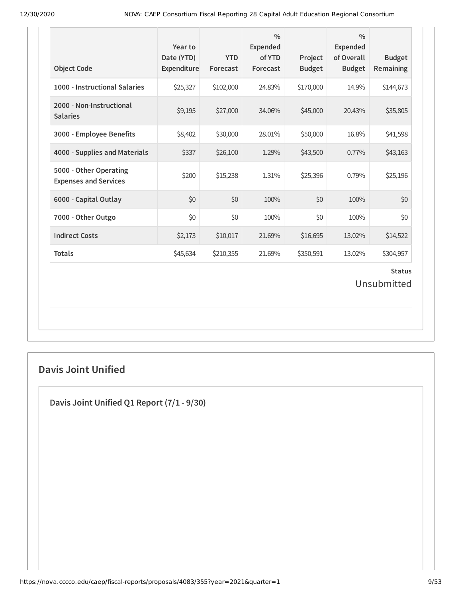| <b>Object Code</b>                                     | Year to<br>Date (YTD)<br>Expenditure | <b>YTD</b><br>Forecast | $\frac{0}{0}$<br><b>Expended</b><br>of YTD<br>Forecast | Project<br><b>Budget</b> | $\frac{0}{0}$<br><b>Expended</b><br>of Overall<br><b>Budget</b> | <b>Budget</b><br>Remaining   |
|--------------------------------------------------------|--------------------------------------|------------------------|--------------------------------------------------------|--------------------------|-----------------------------------------------------------------|------------------------------|
| 1000 - Instructional Salaries                          | \$25,327                             | \$102,000              | 24.83%                                                 | \$170,000                | 14.9%                                                           | \$144,673                    |
| 2000 - Non-Instructional<br><b>Salaries</b>            | \$9,195                              | \$27,000               | 34.06%                                                 | \$45,000                 | 20.43%                                                          | \$35,805                     |
| 3000 - Employee Benefits                               | \$8,402                              | \$30,000               | 28.01%                                                 | \$50,000                 | 16.8%                                                           | \$41,598                     |
| 4000 - Supplies and Materials                          | \$337                                | \$26,100               | 1.29%                                                  | \$43,500                 | 0.77%                                                           | \$43,163                     |
| 5000 - Other Operating<br><b>Expenses and Services</b> | \$200                                | \$15,238               | 1.31%                                                  | \$25,396                 | 0.79%                                                           | \$25,196                     |
| 6000 - Capital Outlay                                  | \$0                                  | \$0                    | 100%                                                   | \$0                      | 100%                                                            | \$0                          |
| 7000 - Other Outgo                                     | \$0                                  | \$0                    | 100%                                                   | \$0                      | 100%                                                            | \$0                          |
| <b>Indirect Costs</b>                                  | \$2,173                              | \$10,017               | 21.69%                                                 | \$16,695                 | 13.02%                                                          | \$14,522                     |
| <b>Totals</b>                                          | \$45,634                             | \$210,355              | 21.69%                                                 | \$350,591                | 13.02%                                                          | \$304,957                    |
|                                                        |                                      |                        |                                                        |                          |                                                                 | <b>Status</b><br>Unsubmitted |

## **Davis Joint Unified**

**Davis Joint Unified Q1 Report (7/1 - 9/30)**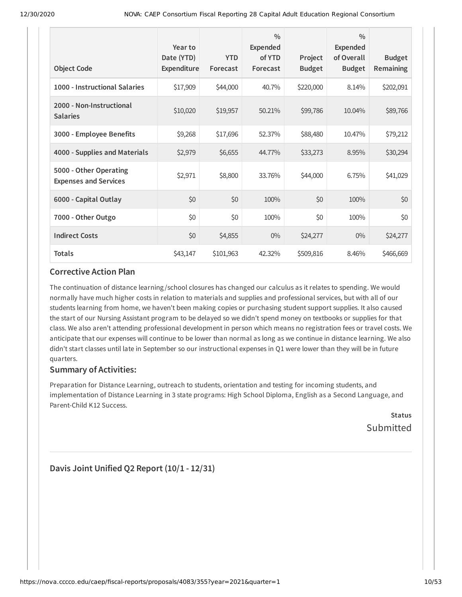| <b>Object Code</b>                                     | Year to<br>Date (YTD)<br><b>Expenditure</b> | <b>YTD</b><br>Forecast | $\frac{0}{0}$<br><b>Expended</b><br>of YTD<br>Forecast | Project<br><b>Budget</b> | $\frac{0}{0}$<br><b>Expended</b><br>of Overall<br><b>Budget</b> | <b>Budget</b><br>Remaining |
|--------------------------------------------------------|---------------------------------------------|------------------------|--------------------------------------------------------|--------------------------|-----------------------------------------------------------------|----------------------------|
| 1000 - Instructional Salaries                          | \$17,909                                    | \$44,000               | 40.7%                                                  | \$220,000                | 8.14%                                                           | \$202,091                  |
| 2000 - Non-Instructional<br><b>Salaries</b>            | \$10,020                                    | \$19,957               | 50.21%                                                 | \$99,786                 | 10.04%                                                          | \$89,766                   |
| 3000 - Employee Benefits                               | \$9,268                                     | \$17,696               | 52.37%                                                 | \$88,480                 | 10.47%                                                          | \$79,212                   |
| 4000 - Supplies and Materials                          | \$2,979                                     | \$6,655                | 44.77%                                                 | \$33,273                 | 8.95%                                                           | \$30,294                   |
| 5000 - Other Operating<br><b>Expenses and Services</b> | \$2,971                                     | \$8,800                | 33.76%                                                 | \$44,000                 | 6.75%                                                           | \$41,029                   |
| 6000 - Capital Outlay                                  | \$0                                         | \$0                    | 100%                                                   | \$0                      | 100%                                                            | \$0                        |
| 7000 - Other Outgo                                     | \$0                                         | \$0                    | 100%                                                   | \$0                      | 100%                                                            | \$0                        |
| <b>Indirect Costs</b>                                  | \$0                                         | \$4,855                | $0\%$                                                  | \$24,277                 | $0\%$                                                           | \$24,277                   |
| <b>Totals</b>                                          | \$43,147                                    | \$101,963              | 42.32%                                                 | \$509,816                | 8.46%                                                           | \$466,669                  |

### **Corrective Action Plan**

The continuation of distance learning /school closures has changed our calculus as it relates to spending. We would normally have much higher costs in relation to materials and supplies and professional services, but with all of our students learning from home, we haven't been making copies or purchasing student support supplies. It also caused the start of our Nursing Assistant program to be delayed so we didn't spend money on textbooks or supplies for that class. We also aren't attending professional development in person which means no registration fees or travel costs. We anticipate that our expenses will continue to be lower than normal as long as we continue in distance learning. We also didn't start classes until late in September so our instructional expenses in Q1 were lower than they will be in future quarters.

### **Summary of Activities:**

Preparation for Distance Learning, outreach to students, orientation and testing for incoming students, and implementation of Distance Learning in 3 state programs: High School Diploma, English as a Second Language, and Parent-Child K12 Success.

**Status** Submitted

**Davis Joint Unified Q2 Report (10/1 - 12/31)**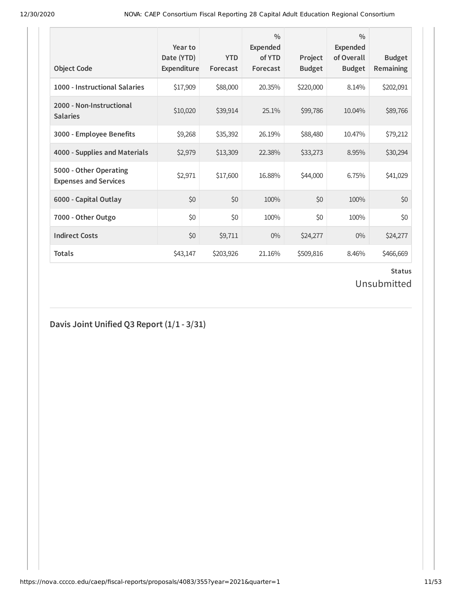| <b>Object Code</b>                                     | Year to<br>Date (YTD)<br>Expenditure | <b>YTD</b><br>Forecast | $\frac{0}{0}$<br><b>Expended</b><br>of YTD<br>Forecast | Project<br><b>Budget</b> | $\frac{0}{0}$<br><b>Expended</b><br>of Overall<br><b>Budget</b> | <b>Budget</b><br>Remaining |
|--------------------------------------------------------|--------------------------------------|------------------------|--------------------------------------------------------|--------------------------|-----------------------------------------------------------------|----------------------------|
| 1000 - Instructional Salaries                          | \$17,909                             | \$88,000               | 20.35%                                                 | \$220,000                | 8.14%                                                           | \$202,091                  |
| 2000 - Non-Instructional<br><b>Salaries</b>            | \$10,020                             | \$39,914               | 25.1%                                                  | \$99,786                 | 10.04%                                                          | \$89,766                   |
| 3000 - Employee Benefits                               | \$9,268                              | \$35,392               | 26.19%                                                 | \$88,480                 | 10.47%                                                          | \$79,212                   |
| 4000 - Supplies and Materials                          | \$2,979                              | \$13,309               | 22.38%                                                 | \$33,273                 | 8.95%                                                           | \$30,294                   |
| 5000 - Other Operating<br><b>Expenses and Services</b> | \$2,971                              | \$17,600               | 16.88%                                                 | \$44,000                 | 6.75%                                                           | \$41,029                   |
| 6000 - Capital Outlay                                  | \$0                                  | \$0                    | 100%                                                   | \$0                      | 100%                                                            | \$0                        |
| 7000 - Other Outgo                                     | \$0                                  | \$0                    | 100%                                                   | \$0                      | 100%                                                            | \$0                        |
| <b>Indirect Costs</b>                                  | \$0                                  | \$9,711                | $0\%$                                                  | \$24,277                 | $0\%$                                                           | \$24,277                   |
| <b>Totals</b>                                          | \$43,147                             | \$203,926              | 21.16%                                                 | \$509,816                | 8.46%                                                           | \$466,669                  |

Unsubmitted

**Davis Joint Unified Q3 Report (1/1 - 3/31)**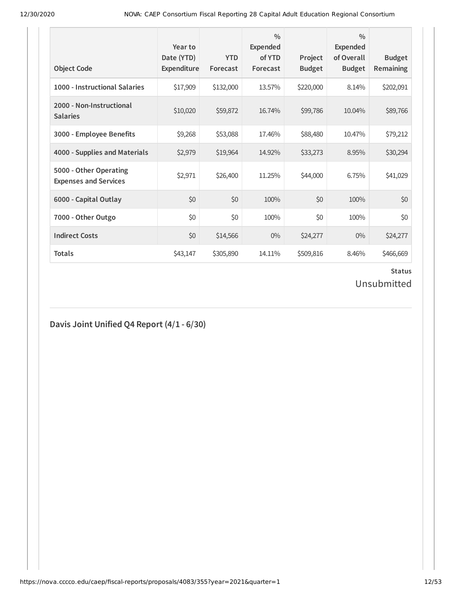| <b>Object Code</b>                                     | Year to<br>Date (YTD)<br>Expenditure | <b>YTD</b><br>Forecast | $\frac{0}{0}$<br><b>Expended</b><br>of YTD<br>Forecast | Project<br><b>Budget</b> | $\frac{0}{0}$<br><b>Expended</b><br>of Overall<br><b>Budget</b> | <b>Budget</b><br><b>Remaining</b> |
|--------------------------------------------------------|--------------------------------------|------------------------|--------------------------------------------------------|--------------------------|-----------------------------------------------------------------|-----------------------------------|
| 1000 - Instructional Salaries                          | \$17,909                             | \$132,000              | 13.57%                                                 | \$220,000                | 8.14%                                                           | \$202,091                         |
| 2000 - Non-Instructional<br><b>Salaries</b>            | \$10,020                             | \$59,872               | 16.74%                                                 | \$99,786                 | 10.04%                                                          | \$89,766                          |
| 3000 - Employee Benefits                               | \$9,268                              | \$53,088               | 17.46%                                                 | \$88,480                 | 10.47%                                                          | \$79,212                          |
| 4000 - Supplies and Materials                          | \$2,979                              | \$19,964               | 14.92%                                                 | \$33,273                 | 8.95%                                                           | \$30,294                          |
| 5000 - Other Operating<br><b>Expenses and Services</b> | \$2,971                              | \$26,400               | 11.25%                                                 | \$44,000                 | 6.75%                                                           | \$41,029                          |
| 6000 - Capital Outlay                                  | \$0                                  | \$0                    | 100%                                                   | \$0                      | 100%                                                            | \$0                               |
| 7000 - Other Outgo                                     | \$0                                  | \$0                    | 100%                                                   | \$0                      | 100%                                                            | \$0                               |
| <b>Indirect Costs</b>                                  | \$0                                  | \$14,566               | $0\%$                                                  | \$24,277                 | $0\%$                                                           | \$24,277                          |
| <b>Totals</b>                                          | \$43,147                             | \$305,890              | 14.11%                                                 | \$509,816                | 8.46%                                                           | \$466,669                         |

Unsubmitted

**Davis Joint Unified Q4 Report (4/1 - 6/30)**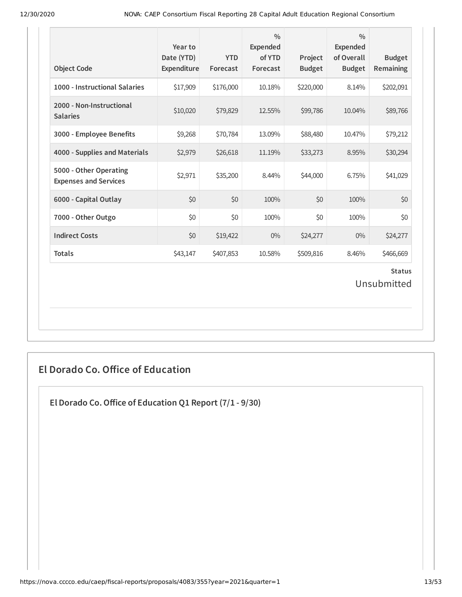| <b>Object Code</b>                                     | Year to<br>Date (YTD)<br>Expenditure | <b>YTD</b><br>Forecast | $\frac{0}{0}$<br><b>Expended</b><br>of YTD<br>Forecast | Project<br><b>Budget</b> | $\frac{0}{0}$<br><b>Expended</b><br>of Overall<br><b>Budget</b> | <b>Budget</b><br>Remaining   |
|--------------------------------------------------------|--------------------------------------|------------------------|--------------------------------------------------------|--------------------------|-----------------------------------------------------------------|------------------------------|
| 1000 - Instructional Salaries                          | \$17,909                             | \$176,000              | 10.18%                                                 | \$220,000                | 8.14%                                                           | \$202,091                    |
| 2000 - Non-Instructional<br><b>Salaries</b>            | \$10,020                             | \$79,829               | 12.55%                                                 | \$99,786                 | 10.04%                                                          | \$89,766                     |
| 3000 - Employee Benefits                               | \$9,268                              | \$70,784               | 13.09%                                                 | \$88,480                 | 10.47%                                                          | \$79,212                     |
| 4000 - Supplies and Materials                          | \$2,979                              | \$26,618               | 11.19%                                                 | \$33,273                 | 8.95%                                                           | \$30,294                     |
| 5000 - Other Operating<br><b>Expenses and Services</b> | \$2,971                              | \$35,200               | 8.44%                                                  | \$44,000                 | 6.75%                                                           | \$41,029                     |
| 6000 - Capital Outlay                                  | \$0                                  | \$0                    | 100%                                                   | \$0                      | 100%                                                            | \$0                          |
| 7000 - Other Outgo                                     | \$0                                  | \$0                    | 100%                                                   | \$0                      | 100%                                                            | \$0                          |
| <b>Indirect Costs</b>                                  | \$0                                  | \$19,422               | $0\%$                                                  | \$24,277                 | $0\%$                                                           | \$24,277                     |
| <b>Totals</b>                                          | \$43,147                             | \$407,853              | 10.58%                                                 | \$509,816                | 8.46%                                                           | \$466,669                    |
|                                                        |                                      |                        |                                                        |                          |                                                                 | <b>Status</b><br>Unsubmitted |

## **El Dorado Co. Oice of Education**

**El Dorado Co.Oice of Education Q1 Report (7/1 - 9/30)**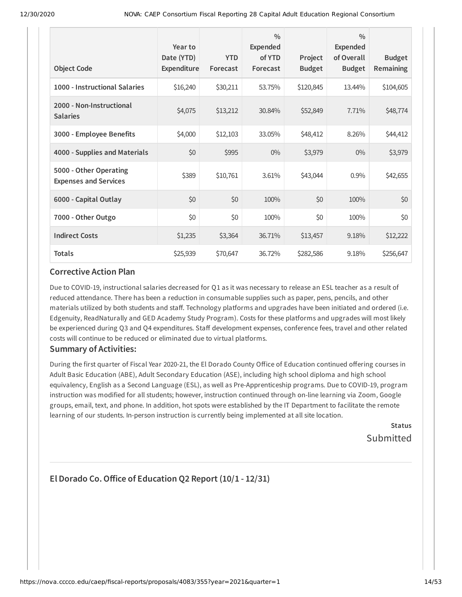|                                                        | Year to<br>Date (YTD) | <b>YTD</b> | $\frac{0}{0}$<br><b>Expended</b><br>of YTD | Project       | $\frac{0}{0}$<br><b>Expended</b><br>of Overall | <b>Budget</b> |
|--------------------------------------------------------|-----------------------|------------|--------------------------------------------|---------------|------------------------------------------------|---------------|
| <b>Object Code</b>                                     | Expenditure           | Forecast   | Forecast                                   | <b>Budget</b> | <b>Budget</b>                                  | Remaining     |
| 1000 - Instructional Salaries                          | \$16,240              | \$30,211   | 53.75%                                     | \$120,845     | 13.44%                                         | \$104,605     |
| 2000 - Non-Instructional<br><b>Salaries</b>            | \$4,075               | \$13,212   | 30.84%                                     | \$52,849      | 7.71%                                          | \$48,774      |
| 3000 - Employee Benefits                               | \$4,000               | \$12,103   | 33.05%                                     | \$48,412      | 8.26%                                          | \$44,412      |
| 4000 - Supplies and Materials                          | \$0                   | \$995      | $0\%$                                      | \$3,979       | $0\%$                                          | \$3,979       |
| 5000 - Other Operating<br><b>Expenses and Services</b> | \$389                 | \$10,761   | 3.61%                                      | \$43,044      | 0.9%                                           | \$42,655      |
| 6000 - Capital Outlay                                  | \$0                   | \$0        | 100%                                       | \$0           | 100%                                           | \$0           |
| 7000 - Other Outgo                                     | \$0                   | \$0        | 100%                                       | \$0           | 100%                                           | \$0           |
| <b>Indirect Costs</b>                                  | \$1,235               | \$3,364    | 36.71%                                     | \$13,457      | 9.18%                                          | \$12,222      |
| <b>Totals</b>                                          | \$25,939              | \$70,647   | 36.72%                                     | \$282,586     | 9.18%                                          | \$256,647     |

#### **Corrective Action Plan**

Due to COVID-19, instructional salaries decreased for Q1 as it was necessary to release an ESL teacher as a result of reduced attendance. There has been a reduction in consumable supplies such as paper, pens, pencils, and other materials utilized by both students and staff. Technology platforms and upgrades have been initiated and ordered (i.e. Edgenuity, ReadNaturally and GED Academy Study Program). Costs for these platforms and upgrades will most likely be experienced during Q3 and Q4 expenditures. Staff development expenses, conference fees, travel and other related costs will continue to be reduced or eliminated due to virtual platforms.

### **Summary of Activities:**

During the first quarter of Fiscal Year 2020-21, the El Dorado County Office of Education continued offering courses in Adult Basic Education (ABE), Adult Secondary Education (ASE), including high school diploma and high school equivalency, English as a Second Language (ESL), as well as Pre-Apprenticeship programs. Due to COVID-19, program instruction was modified for all students; however, instruction continued through on-line learning via Zoom, Google groups, email, text, and phone. In addition, hot spots were established by the IT Department to facilitate the remote learning of our students. In-person instruction is currently being implemented at all site location.

> **Status** Submitted

### **El Dorado Co.Oice of Education Q2 Report (10/1 - 12/31)**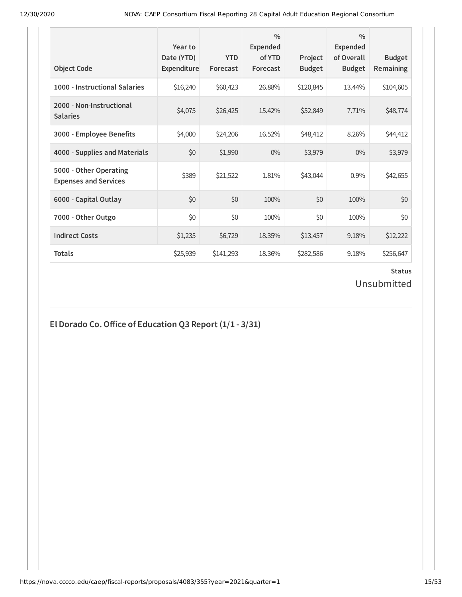| <b>Object Code</b>                                     | Year to<br>Date (YTD)<br>Expenditure | <b>YTD</b><br>Forecast | $\frac{0}{0}$<br>Expended<br>of YTD<br>Forecast | Project<br><b>Budget</b> | $\frac{0}{0}$<br>Expended<br>of Overall<br><b>Budget</b> | <b>Budget</b><br><b>Remaining</b> |
|--------------------------------------------------------|--------------------------------------|------------------------|-------------------------------------------------|--------------------------|----------------------------------------------------------|-----------------------------------|
| 1000 - Instructional Salaries                          | \$16,240                             | \$60,423               | 26.88%                                          | \$120,845                | 13.44%                                                   | \$104,605                         |
| 2000 - Non-Instructional<br><b>Salaries</b>            | \$4,075                              | \$26,425               | 15.42%                                          | \$52,849                 | 7.71%                                                    | \$48,774                          |
| 3000 - Employee Benefits                               | \$4,000                              | \$24,206               | 16.52%                                          | \$48,412                 | 8.26%                                                    | \$44,412                          |
| 4000 - Supplies and Materials                          | \$0                                  | \$1,990                | $0\%$                                           | \$3,979                  | $0\%$                                                    | \$3,979                           |
| 5000 - Other Operating<br><b>Expenses and Services</b> | \$389                                | \$21,522               | 1.81%                                           | \$43,044                 | 0.9%                                                     | \$42,655                          |
| 6000 - Capital Outlay                                  | \$0                                  | \$0                    | 100%                                            | \$0                      | 100%                                                     | \$0                               |
| 7000 - Other Outgo                                     | \$0                                  | \$0                    | 100%                                            | \$0                      | 100%                                                     | \$0                               |
| <b>Indirect Costs</b>                                  | \$1,235                              | \$6,729                | 18.35%                                          | \$13,457                 | 9.18%                                                    | \$12,222                          |
| <b>Totals</b>                                          | \$25,939                             | \$141,293              | 18.36%                                          | \$282,586                | 9.18%                                                    | \$256,647                         |

### **Status** Unsubmitted

## **El Dorado Co.Oice of Education Q3 Report (1/1 - 3/31)**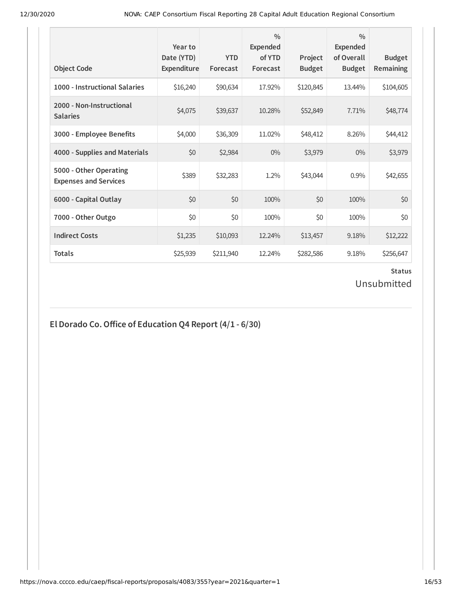| <b>Object Code</b>                                     | Year to<br>Date (YTD)<br>Expenditure | <b>YTD</b><br>Forecast | $\frac{0}{0}$<br>Expended<br>of YTD<br>Forecast | Project<br><b>Budget</b> | $\frac{0}{0}$<br>Expended<br>of Overall<br><b>Budget</b> | <b>Budget</b><br><b>Remaining</b> |
|--------------------------------------------------------|--------------------------------------|------------------------|-------------------------------------------------|--------------------------|----------------------------------------------------------|-----------------------------------|
| 1000 - Instructional Salaries                          | \$16,240                             | \$90,634               | 17.92%                                          | \$120,845                | 13.44%                                                   | \$104,605                         |
| 2000 - Non-Instructional<br><b>Salaries</b>            | \$4,075                              | \$39,637               | 10.28%                                          | \$52,849                 | 7.71%                                                    | \$48,774                          |
| 3000 - Employee Benefits                               | \$4,000                              | \$36,309               | 11.02%                                          | \$48,412                 | 8.26%                                                    | \$44,412                          |
| 4000 - Supplies and Materials                          | \$0                                  | \$2,984                | $0\%$                                           | \$3,979                  | $0\%$                                                    | \$3,979                           |
| 5000 - Other Operating<br><b>Expenses and Services</b> | \$389                                | \$32,283               | 1.2%                                            | \$43,044                 | 0.9%                                                     | \$42,655                          |
| 6000 - Capital Outlay                                  | \$0                                  | \$0                    | 100%                                            | \$0                      | 100%                                                     | \$0                               |
| 7000 - Other Outgo                                     | \$0                                  | \$0                    | 100%                                            | \$0                      | 100%                                                     | \$0                               |
| <b>Indirect Costs</b>                                  | \$1,235                              | \$10,093               | 12.24%                                          | \$13,457                 | 9.18%                                                    | \$12,222                          |
| <b>Totals</b>                                          | \$25,939                             | \$211,940              | 12.24%                                          | \$282,586                | 9.18%                                                    | \$256,647                         |

## Unsubmitted

## **El Dorado Co.Oice of Education Q4 Report (4/1 - 6/30)**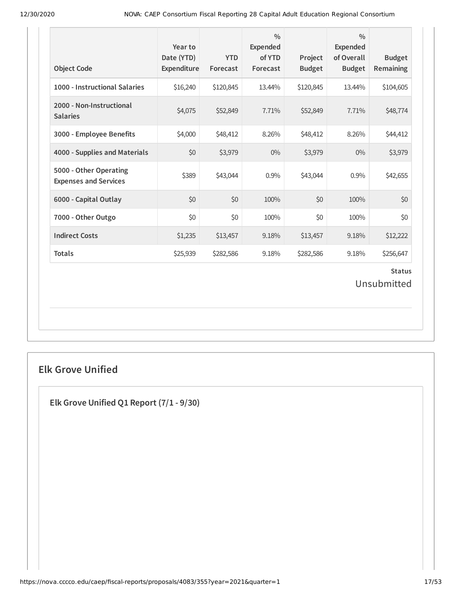| <b>Object Code</b>                                     | Year to<br>Date (YTD)<br>Expenditure | <b>YTD</b><br>Forecast | $\frac{0}{0}$<br><b>Expended</b><br>of YTD<br>Forecast | Project<br><b>Budget</b> | $\frac{0}{0}$<br><b>Expended</b><br>of Overall<br><b>Budget</b> | <b>Budget</b><br>Remaining |  |
|--------------------------------------------------------|--------------------------------------|------------------------|--------------------------------------------------------|--------------------------|-----------------------------------------------------------------|----------------------------|--|
| 1000 - Instructional Salaries                          | \$16,240                             | \$120,845              | 13.44%                                                 | \$120,845                | 13.44%                                                          | \$104,605                  |  |
| 2000 - Non-Instructional<br><b>Salaries</b>            | \$4,075                              | \$52,849               | 7.71%                                                  | \$52,849                 | 7.71%                                                           | \$48,774                   |  |
| 3000 - Employee Benefits                               | \$4,000                              | \$48,412               | 8.26%                                                  | \$48,412                 | 8.26%                                                           | \$44,412                   |  |
| 4000 - Supplies and Materials                          | \$0                                  | \$3,979                | $0\%$                                                  | \$3,979                  | $0\%$                                                           | \$3,979                    |  |
| 5000 - Other Operating<br><b>Expenses and Services</b> | \$389                                | \$43,044               | 0.9%                                                   | \$43,044                 | 0.9%                                                            | \$42,655                   |  |
| 6000 - Capital Outlay                                  | \$0                                  | \$0                    | 100%                                                   | \$0                      | 100%                                                            | \$0                        |  |
| 7000 - Other Outgo                                     | \$0                                  | \$0                    | 100%                                                   | \$0                      | 100%                                                            | \$0                        |  |
| <b>Indirect Costs</b>                                  | \$1,235                              | \$13,457               | 9.18%                                                  | \$13,457                 | 9.18%                                                           | \$12,222                   |  |
| <b>Totals</b>                                          | \$25,939                             | \$282,586              | 9.18%                                                  | \$282,586                | 9.18%                                                           | \$256,647                  |  |
| <b>Status</b><br>Unsubmitted                           |                                      |                        |                                                        |                          |                                                                 |                            |  |

## **Elk Grove Unified**

**Elk Grove Unified Q1 Report (7/1 - 9/30)**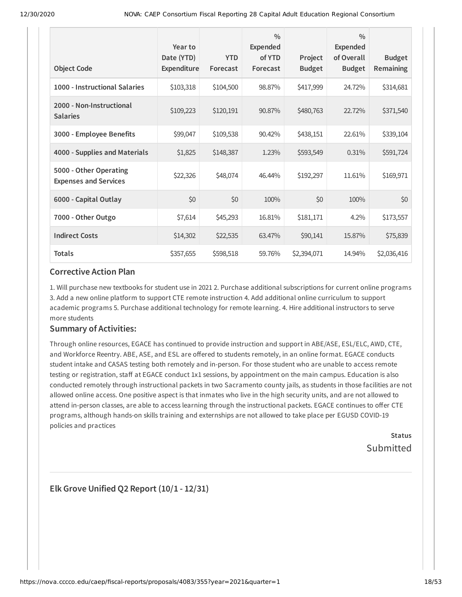| <b>Object Code</b>                                     | Year to<br>Date (YTD)<br>Expenditure | <b>YTD</b><br>Forecast | $\frac{0}{0}$<br><b>Expended</b><br>of YTD<br>Forecast | Project<br><b>Budget</b> | $\frac{0}{0}$<br><b>Expended</b><br>of Overall<br><b>Budget</b> | <b>Budget</b><br>Remaining |
|--------------------------------------------------------|--------------------------------------|------------------------|--------------------------------------------------------|--------------------------|-----------------------------------------------------------------|----------------------------|
| 1000 - Instructional Salaries                          | \$103,318                            | \$104,500              | 98.87%                                                 | \$417,999                | 24.72%                                                          | \$314,681                  |
| 2000 - Non-Instructional<br><b>Salaries</b>            | \$109,223                            | \$120,191              | 90.87%                                                 | \$480,763                | 22.72%                                                          | \$371,540                  |
| 3000 - Employee Benefits                               | \$99,047                             | \$109,538              | 90.42%                                                 | \$438,151                | 22.61%                                                          | \$339,104                  |
| 4000 - Supplies and Materials                          | \$1,825                              | \$148,387              | 1.23%                                                  | \$593,549                | 0.31%                                                           | \$591,724                  |
| 5000 - Other Operating<br><b>Expenses and Services</b> | \$22,326                             | \$48,074               | 46.44%                                                 | \$192,297                | 11.61%                                                          | \$169,971                  |
| 6000 - Capital Outlay                                  | \$0                                  | \$0                    | 100%                                                   | \$0                      | 100%                                                            | \$0                        |
| 7000 - Other Outgo                                     | \$7,614                              | \$45,293               | 16.81%                                                 | \$181,171                | 4.2%                                                            | \$173,557                  |
| <b>Indirect Costs</b>                                  | \$14,302                             | \$22,535               | 63.47%                                                 | \$90,141                 | 15.87%                                                          | \$75,839                   |
| <b>Totals</b>                                          | \$357,655                            | \$598,518              | 59.76%                                                 | \$2,394,071              | 14.94%                                                          | \$2,036,416                |

#### **Corrective Action Plan**

1. Will purchase new textbooks for student use in 2021 2. Purchase additional subscriptions for current online programs 3. Add a new online platform to support CTE remote instruction 4. Add additional online curriculum to support academic programs 5. Purchase additional technology for remote learning. 4. Hire additional instructors to serve more students

### **Summary of Activities:**

Through online resources, EGACE has continued to provide instruction and support in ABE/ASE, ESL/ELC, AWD, CTE, and Workforce Reentry. ABE, ASE, and ESL are offered to students remotely, in an online format. EGACE conducts student intake and CASAS testing both remotely and in-person. For those student who are unable to access remote testing or registration, staff at EGACE conduct 1x1 sessions, by appointment on the main campus. Education is also conducted remotely through instructional packets in two Sacramento county jails, as students in those facilities are not allowed online access. One positive aspect is that inmates who live in the high security units, and are not allowed to attend in-person classes, are able to access learning through the instructional packets. EGACE continues to offer CTE programs, although hands-on skills training and externships are not allowed to take place per EGUSD COVID-19 policies and practices

> **Status** Submitted

**Elk Grove Unified Q2 Report (10/1 - 12/31)**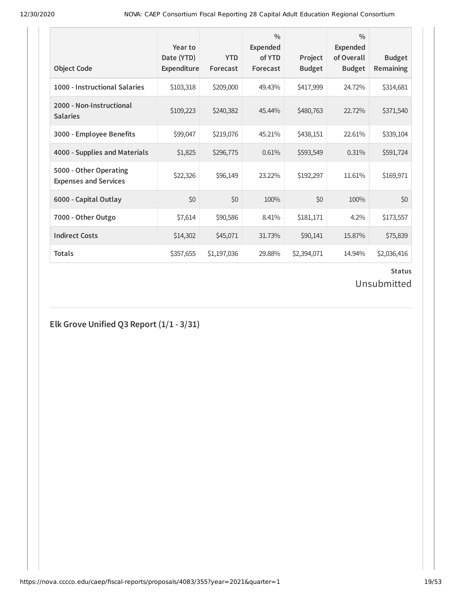| <b>Object Code</b>                                     | Year to<br>Date (YTD)<br>Expenditure | <b>YTD</b><br>Forecast | $\frac{0}{0}$<br><b>Expended</b><br>of YTD<br>Forecast | Project<br><b>Budget</b> | $\frac{0}{0}$<br><b>Expended</b><br>of Overall<br><b>Budget</b> | <b>Budget</b><br><b>Remaining</b> |
|--------------------------------------------------------|--------------------------------------|------------------------|--------------------------------------------------------|--------------------------|-----------------------------------------------------------------|-----------------------------------|
| 1000 - Instructional Salaries                          | \$103,318                            | \$209,000              | 49.43%                                                 | \$417,999                | 24.72%                                                          | \$314,681                         |
| 2000 - Non-Instructional<br><b>Salaries</b>            | \$109,223                            | \$240,382              | 45.44%                                                 | \$480,763                | 22.72%                                                          | \$371,540                         |
| 3000 - Employee Benefits                               | \$99,047                             | \$219,076              | 45.21%                                                 | \$438,151                | 22.61%                                                          | \$339,104                         |
| 4000 - Supplies and Materials                          | \$1,825                              | \$296,775              | 0.61%                                                  | \$593,549                | 0.31%                                                           | \$591,724                         |
| 5000 - Other Operating<br><b>Expenses and Services</b> | \$22,326                             | \$96,149               | 23.22%                                                 | \$192,297                | 11.61%                                                          | \$169,971                         |
| 6000 - Capital Outlay                                  | \$0                                  | \$0                    | 100%                                                   | \$0                      | 100%                                                            | \$0                               |
| 7000 - Other Outgo                                     | \$7,614                              | \$90,586               | 8.41%                                                  | \$181,171                | 4.2%                                                            | \$173,557                         |
| <b>Indirect Costs</b>                                  | \$14,302                             | \$45,071               | 31.73%                                                 | \$90,141                 | 15.87%                                                          | \$75,839                          |
| <b>Totals</b>                                          | \$357,655                            | \$1,197,036            | 29.88%                                                 | \$2,394,071              | 14.94%                                                          | \$2,036,416                       |

Unsubmitted

**Elk Grove Unified Q3 Report (1/1 - 3/31)**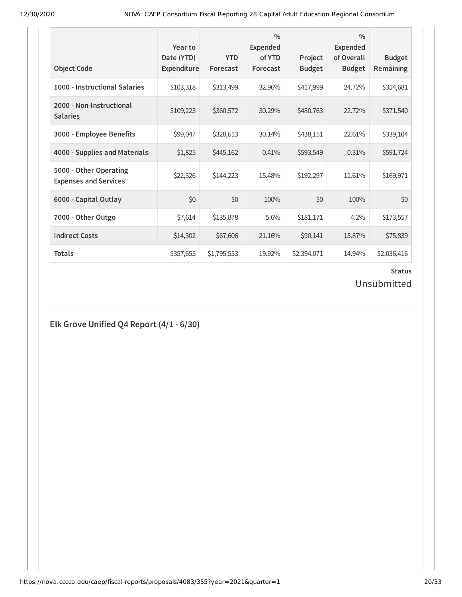| <b>Object Code</b>                                     | Year to<br>Date (YTD)<br>Expenditure | <b>YTD</b><br>Forecast | $\frac{0}{0}$<br><b>Expended</b><br>of YTD<br>Forecast | Project<br><b>Budget</b> | $\frac{0}{0}$<br><b>Expended</b><br>of Overall<br><b>Budget</b> | <b>Budget</b><br><b>Remaining</b> |
|--------------------------------------------------------|--------------------------------------|------------------------|--------------------------------------------------------|--------------------------|-----------------------------------------------------------------|-----------------------------------|
| 1000 - Instructional Salaries                          | \$103,318                            | \$313,499              | 32.96%                                                 | \$417,999                | 24.72%                                                          | \$314,681                         |
| 2000 - Non-Instructional<br><b>Salaries</b>            | \$109,223                            | \$360,572              | 30.29%                                                 | \$480,763                | 22.72%                                                          | \$371,540                         |
| 3000 - Employee Benefits                               | \$99,047                             | \$328,613              | 30.14%                                                 | \$438,151                | 22.61%                                                          | \$339,104                         |
| 4000 - Supplies and Materials                          | \$1,825                              | \$445,162              | 0.41%                                                  | \$593,549                | 0.31%                                                           | \$591,724                         |
| 5000 - Other Operating<br><b>Expenses and Services</b> | \$22,326                             | \$144,223              | 15.48%                                                 | \$192,297                | 11.61%                                                          | \$169,971                         |
| 6000 - Capital Outlay                                  | \$0                                  | \$0                    | 100%                                                   | \$0                      | 100%                                                            | \$0                               |
| 7000 - Other Outgo                                     | \$7,614                              | \$135,878              | 5.6%                                                   | \$181,171                | 4.2%                                                            | \$173,557                         |
| <b>Indirect Costs</b>                                  | \$14,302                             | \$67,606               | 21.16%                                                 | \$90,141                 | 15.87%                                                          | \$75,839                          |
| <b>Totals</b>                                          | \$357,655                            | \$1,795,553            | 19.92%                                                 | \$2,394,071              | 14.94%                                                          | \$2,036,416                       |

Unsubmitted

**Elk Grove Unified Q4 Report (4/1 - 6/30)**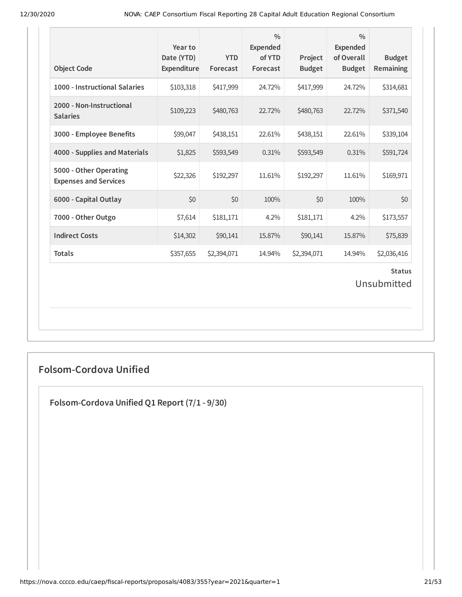| <b>Object Code</b>                                     | Year to<br>Date (YTD)<br>Expenditure | <b>YTD</b><br>Forecast | $\frac{0}{0}$<br>Expended<br>of YTD<br>Forecast | Project<br><b>Budget</b> | $\frac{0}{0}$<br><b>Expended</b><br>of Overall<br><b>Budget</b> | <b>Budget</b><br>Remaining |  |
|--------------------------------------------------------|--------------------------------------|------------------------|-------------------------------------------------|--------------------------|-----------------------------------------------------------------|----------------------------|--|
| 1000 - Instructional Salaries                          | \$103,318                            | \$417,999              | 24.72%                                          | \$417,999                | 24.72%                                                          | \$314,681                  |  |
| 2000 - Non-Instructional<br><b>Salaries</b>            | \$109,223                            | \$480,763              | 22.72%                                          | \$480,763                | 22.72%                                                          | \$371,540                  |  |
| 3000 - Employee Benefits                               | \$99,047                             | \$438,151              | 22.61%                                          | \$438,151                | 22.61%                                                          | \$339,104                  |  |
| 4000 - Supplies and Materials                          | \$1,825                              | \$593,549              | 0.31%                                           | \$593,549                | 0.31%                                                           | \$591,724                  |  |
| 5000 - Other Operating<br><b>Expenses and Services</b> | \$22,326                             | \$192,297              | 11.61%                                          | \$192,297                | 11.61%                                                          | \$169,971                  |  |
| 6000 - Capital Outlay                                  | \$0                                  | \$0                    | 100%                                            | \$0                      | 100%                                                            | \$0                        |  |
| 7000 - Other Outgo                                     | \$7,614                              | \$181,171              | 4.2%                                            | \$181,171                | 4.2%                                                            | \$173,557                  |  |
| <b>Indirect Costs</b>                                  | \$14,302                             | \$90,141               | 15.87%                                          | \$90,141                 | 15.87%                                                          | \$75,839                   |  |
| <b>Totals</b>                                          | \$357,655                            | \$2,394,071            | 14.94%                                          | \$2,394,071              | 14.94%                                                          | \$2,036,416                |  |
| <b>Status</b><br>Unsubmitted                           |                                      |                        |                                                 |                          |                                                                 |                            |  |

## **Folsom-Cordova Unified**

**Folsom-Cordova Unified Q1 Report (7/1 - 9/30)**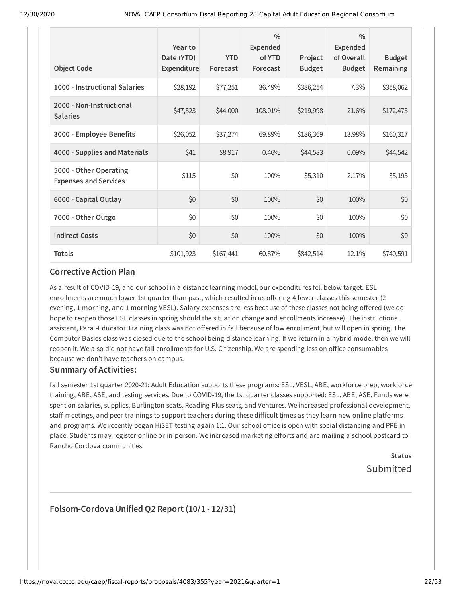| <b>Object Code</b>                                     | Year to<br>Date (YTD)<br>Expenditure | <b>YTD</b><br>Forecast | $\frac{0}{0}$<br><b>Expended</b><br>of YTD<br>Forecast | Project<br><b>Budget</b> | $\frac{0}{0}$<br><b>Expended</b><br>of Overall<br><b>Budget</b> | <b>Budget</b><br><b>Remaining</b> |
|--------------------------------------------------------|--------------------------------------|------------------------|--------------------------------------------------------|--------------------------|-----------------------------------------------------------------|-----------------------------------|
| 1000 - Instructional Salaries                          | \$28,192                             | \$77,251               | 36.49%                                                 | \$386,254                | $7.3\%$                                                         | \$358,062                         |
| 2000 - Non-Instructional<br><b>Salaries</b>            | \$47,523                             | \$44,000               | 108.01%                                                | \$219,998                | 21.6%                                                           | \$172,475                         |
| 3000 - Employee Benefits                               | \$26,052                             | \$37,274               | 69.89%                                                 | \$186,369                | 13.98%                                                          | \$160,317                         |
| 4000 - Supplies and Materials                          | \$41                                 | \$8,917                | 0.46%                                                  | \$44,583                 | 0.09%                                                           | \$44,542                          |
| 5000 - Other Operating<br><b>Expenses and Services</b> | \$115                                | \$0                    | 100%                                                   | \$5,310                  | 2.17%                                                           | \$5,195                           |
| 6000 - Capital Outlay                                  | \$0                                  | \$0                    | 100%                                                   | \$0                      | 100%                                                            | \$0                               |
| 7000 - Other Outgo                                     | \$0                                  | \$0                    | 100%                                                   | \$0                      | 100%                                                            | \$0                               |
| <b>Indirect Costs</b>                                  | \$0                                  | \$0                    | 100%                                                   | \$0                      | 100%                                                            | \$0                               |
| <b>Totals</b>                                          | \$101,923                            | \$167,441              | 60.87%                                                 | \$842,514                | 12.1%                                                           | \$740,591                         |

#### **Corrective Action Plan**

As a result of COVID-19, and our school in a distance learning model, our expenditures fell below target. ESL enrollments are much lower 1st quarter than past, which resulted in us offering 4 fewer classes this semester (2 evening, 1 morning, and 1 morning VESL). Salary expenses are less because of these classes not being offered (we do hope to reopen those ESL classes in spring should the situation change and enrollments increase). The instructional assistant, Para -Educator Training class was not offered in fall because of low enrollment, but will open in spring. The Computer Basics class was closed due to the school being distance learning. If we return in a hybrid model then we will reopen it. We also did not have fall enrollments for U.S. Citizenship. We are spending less on office consumables because we don't have teachers on campus.

### **Summary of Activities:**

fall semester 1st quarter 2020-21: Adult Education supports these programs: ESL, VESL, ABE, workforce prep, workforce training, ABE, ASE, and testing services. Due to COVID-19, the 1st quarter classes supported: ESL, ABE, ASE. Funds were spent on salaries, supplies, Burlington seats, Reading Plus seats, and Ventures. We increased professional development, staff meetings, and peer trainings to support teachers during these difficult times as they learn new online platforms and programs. We recently began HiSET testing again 1:1. Our school office is open with social distancing and PPE in place. Students may register online or in-person. We increased marketing efforts and are mailing a school postcard to Rancho Cordova communities.

## **Status** Submitted

### **Folsom-Cordova Unified Q2 Report (10/1 - 12/31)**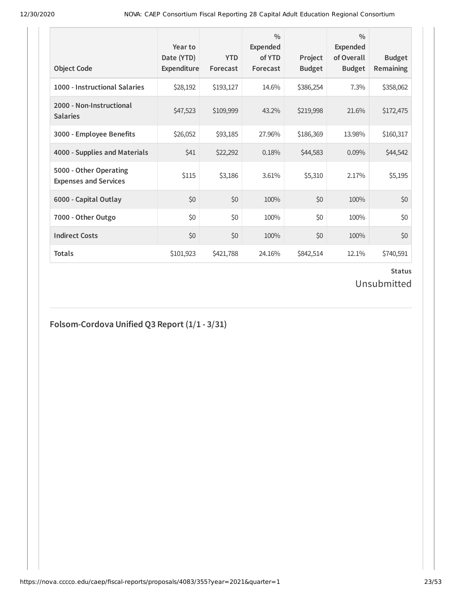| <b>Object Code</b>                                     | Year to<br>Date (YTD)<br>Expenditure | <b>YTD</b><br>Forecast | $\frac{0}{0}$<br>Expended<br>of YTD<br>Forecast | Project<br><b>Budget</b> | $\frac{0}{0}$<br><b>Expended</b><br>of Overall<br><b>Budget</b> | <b>Budget</b><br><b>Remaining</b> |
|--------------------------------------------------------|--------------------------------------|------------------------|-------------------------------------------------|--------------------------|-----------------------------------------------------------------|-----------------------------------|
| 1000 - Instructional Salaries                          | \$28,192                             | \$193,127              | 14.6%                                           | \$386,254                | 7.3%                                                            | \$358,062                         |
| 2000 - Non-Instructional<br><b>Salaries</b>            | \$47,523                             | \$109,999              | 43.2%                                           | \$219,998                | 21.6%                                                           | \$172,475                         |
| 3000 - Employee Benefits                               | \$26,052                             | \$93,185               | 27.96%                                          | \$186,369                | 13.98%                                                          | \$160,317                         |
| 4000 - Supplies and Materials                          | \$41                                 | \$22,292               | 0.18%                                           | \$44,583                 | 0.09%                                                           | \$44,542                          |
| 5000 - Other Operating<br><b>Expenses and Services</b> | \$115                                | \$3,186                | 3.61%                                           | \$5,310                  | 2.17%                                                           | \$5,195                           |
| 6000 - Capital Outlay                                  | \$0                                  | \$0                    | 100%                                            | \$0                      | 100%                                                            | \$0                               |
| 7000 - Other Outgo                                     | \$0                                  | \$0                    | 100%                                            | \$0                      | 100%                                                            | \$0                               |
| <b>Indirect Costs</b>                                  | \$0                                  | \$0                    | 100%                                            | \$0                      | 100%                                                            | \$0                               |
| <b>Totals</b>                                          | \$101,923                            | \$421,788              | 24.16%                                          | \$842,514                | 12.1%                                                           | \$740,591                         |

## Unsubmitted

## **Folsom-Cordova Unified Q3 Report (1/1 - 3/31)**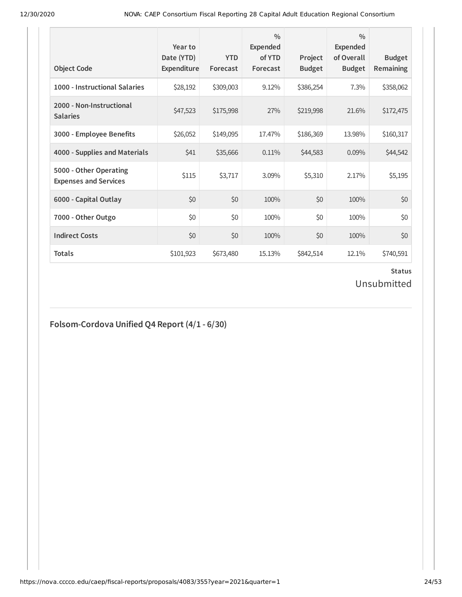| <b>Object Code</b>                                     | Year to<br>Date (YTD)<br>Expenditure | <b>YTD</b><br>Forecast | $\frac{0}{0}$<br><b>Expended</b><br>of YTD<br>Forecast | Project<br><b>Budget</b> | $\frac{0}{0}$<br><b>Expended</b><br>of Overall<br><b>Budget</b> | <b>Budget</b><br><b>Remaining</b> |
|--------------------------------------------------------|--------------------------------------|------------------------|--------------------------------------------------------|--------------------------|-----------------------------------------------------------------|-----------------------------------|
| 1000 - Instructional Salaries                          | \$28,192                             | \$309,003              | 9.12%                                                  | \$386,254                | 7.3%                                                            | \$358,062                         |
| 2000 - Non-Instructional<br><b>Salaries</b>            | \$47,523                             | \$175,998              | 27%                                                    | \$219,998                | 21.6%                                                           | \$172,475                         |
| 3000 - Employee Benefits                               | \$26,052                             | \$149,095              | 17.47%                                                 | \$186,369                | 13.98%                                                          | \$160,317                         |
| 4000 - Supplies and Materials                          | \$41                                 | \$35,666               | 0.11%                                                  | \$44,583                 | 0.09%                                                           | \$44,542                          |
| 5000 - Other Operating<br><b>Expenses and Services</b> | \$115                                | \$3,717                | 3.09%                                                  | \$5,310                  | 2.17%                                                           | \$5,195                           |
| 6000 - Capital Outlay                                  | \$0                                  | \$0                    | 100%                                                   | \$0                      | 100%                                                            | \$0                               |
| 7000 - Other Outgo                                     | \$0                                  | \$0                    | 100%                                                   | \$0                      | 100%                                                            | \$0                               |
| <b>Indirect Costs</b>                                  | \$0                                  | \$0                    | 100%                                                   | \$0                      | 100%                                                            | \$0                               |
| <b>Totals</b>                                          | \$101,923                            | \$673,480              | 15.13%                                                 | \$842,514                | 12.1%                                                           | \$740,591                         |

Unsubmitted

## **Folsom-Cordova Unified Q4 Report (4/1 - 6/30)**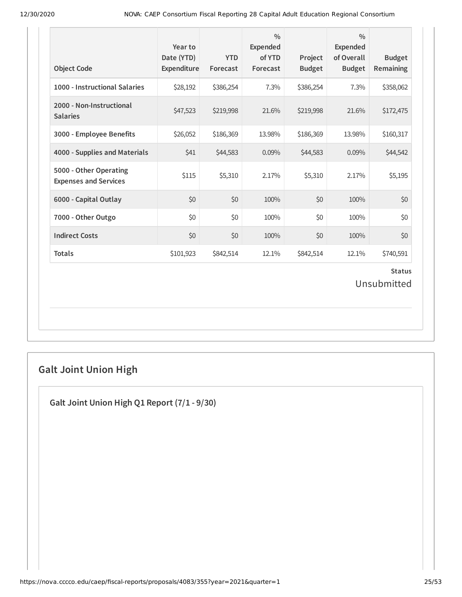| <b>Object Code</b>                                     | Year to<br>Date (YTD)<br>Expenditure | <b>YTD</b><br>Forecast | $\frac{0}{0}$<br><b>Expended</b><br>of YTD<br>Forecast | Project<br><b>Budget</b> | $\frac{0}{0}$<br><b>Expended</b><br>of Overall<br><b>Budget</b> | <b>Budget</b><br><b>Remaining</b> |
|--------------------------------------------------------|--------------------------------------|------------------------|--------------------------------------------------------|--------------------------|-----------------------------------------------------------------|-----------------------------------|
| 1000 - Instructional Salaries                          | \$28,192                             | \$386,254              | 7.3%                                                   | \$386,254                | 7.3%                                                            | \$358,062                         |
| 2000 - Non-Instructional<br><b>Salaries</b>            | \$47,523                             | \$219,998              | 21.6%                                                  | \$219,998                | 21.6%                                                           | \$172,475                         |
| 3000 - Employee Benefits                               | \$26,052                             | \$186,369              | 13.98%                                                 | \$186,369                | 13.98%                                                          | \$160,317                         |
| 4000 - Supplies and Materials                          | \$41                                 | \$44,583               | 0.09%                                                  | \$44,583                 | 0.09%                                                           | \$44,542                          |
| 5000 - Other Operating<br><b>Expenses and Services</b> | \$115                                | \$5,310                | 2.17%                                                  | \$5,310                  | 2.17%                                                           | \$5,195                           |
| 6000 - Capital Outlay                                  | \$0                                  | 50                     | 100%                                                   | \$0                      | 100%                                                            | \$0                               |
| 7000 - Other Outgo                                     | \$0                                  | \$0                    | 100%                                                   | \$0                      | 100%                                                            | \$0                               |
| <b>Indirect Costs</b>                                  | \$0                                  | \$0                    | 100%                                                   | \$0                      | 100%                                                            | \$0                               |
| <b>Totals</b>                                          | \$101,923                            | \$842,514              | 12.1%                                                  | \$842,514                | 12.1%                                                           | \$740,591                         |
|                                                        |                                      |                        |                                                        |                          |                                                                 | <b>Status</b><br>Unsubmitted      |

## **Galt Joint Union High**

**Galt Joint Union High Q1 Report (7/1 - 9/30)**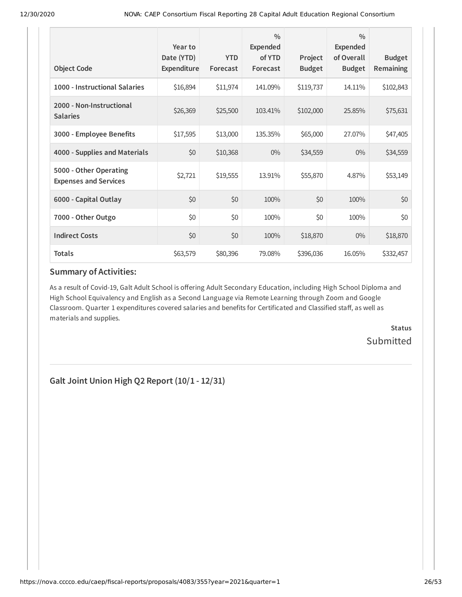| <b>Object Code</b>                                     | Year to<br>Date (YTD)<br>Expenditure | <b>YTD</b><br>Forecast | $\frac{0}{0}$<br>Expended<br>of YTD<br>Forecast | Project<br><b>Budget</b> | $\frac{0}{0}$<br>Expended<br>of Overall<br><b>Budget</b> | <b>Budget</b><br>Remaining |
|--------------------------------------------------------|--------------------------------------|------------------------|-------------------------------------------------|--------------------------|----------------------------------------------------------|----------------------------|
| 1000 - Instructional Salaries                          | \$16,894                             | \$11,974               | 141.09%                                         | \$119,737                | 14.11%                                                   | \$102,843                  |
| 2000 - Non-Instructional<br><b>Salaries</b>            | \$26,369                             | \$25,500               | 103.41%                                         | \$102,000                | 25.85%                                                   | \$75,631                   |
| 3000 - Employee Benefits                               | \$17,595                             | \$13,000               | 135.35%                                         | \$65,000                 | 27.07%                                                   | \$47,405                   |
| 4000 - Supplies and Materials                          | \$0                                  | \$10,368               | $0\%$                                           | \$34,559                 | $0\%$                                                    | \$34,559                   |
| 5000 - Other Operating<br><b>Expenses and Services</b> | \$2,721                              | \$19,555               | 13.91%                                          | \$55,870                 | 4.87%                                                    | \$53,149                   |
| 6000 - Capital Outlay                                  | \$0                                  | \$0                    | 100%                                            | \$0                      | 100%                                                     | \$0                        |
| 7000 - Other Outgo                                     | \$0                                  | \$0                    | 100%                                            | \$0                      | 100%                                                     | \$0                        |
| <b>Indirect Costs</b>                                  | \$0                                  | \$0                    | 100%                                            | \$18,870                 | $0\%$                                                    | \$18,870                   |
| <b>Totals</b>                                          | \$63,579                             | \$80,396               | 79.08%                                          | \$396,036                | 16.05%                                                   | \$332,457                  |

### **Summary of Activities:**

As a result of Covid-19, Galt Adult School is offering Adult Secondary Education, including High School Diploma and High School Equivalency and English as a Second Language via Remote Learning through Zoom and Google Classroom. Quarter 1 expenditures covered salaries and benefits for Certificated and Classified staff, as well as materials and supplies.

> **Status Submitted**

**Galt Joint Union High Q2 Report (10/1 - 12/31)**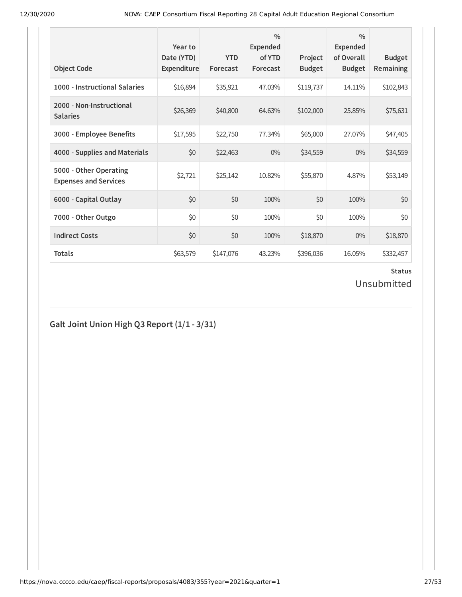| <b>Object Code</b>                                     | Year to<br>Date (YTD)<br>Expenditure | <b>YTD</b><br>Forecast | $\frac{0}{0}$<br><b>Expended</b><br>of YTD<br>Forecast | Project<br><b>Budget</b> | $\frac{0}{0}$<br><b>Expended</b><br>of Overall<br><b>Budget</b> | <b>Budget</b><br><b>Remaining</b> |
|--------------------------------------------------------|--------------------------------------|------------------------|--------------------------------------------------------|--------------------------|-----------------------------------------------------------------|-----------------------------------|
| 1000 - Instructional Salaries                          | \$16,894                             | \$35,921               | 47.03%                                                 | \$119,737                | 14.11%                                                          | \$102,843                         |
| 2000 - Non-Instructional<br><b>Salaries</b>            | \$26,369                             | \$40,800               | 64.63%                                                 | \$102,000                | 25.85%                                                          | \$75,631                          |
| 3000 - Employee Benefits                               | \$17,595                             | \$22,750               | 77.34%                                                 | \$65,000                 | 27.07%                                                          | \$47,405                          |
| 4000 - Supplies and Materials                          | \$0                                  | \$22,463               | $0\%$                                                  | \$34,559                 | $0\%$                                                           | \$34,559                          |
| 5000 - Other Operating<br><b>Expenses and Services</b> | \$2,721                              | \$25,142               | 10.82%                                                 | \$55,870                 | 4.87%                                                           | \$53,149                          |
| 6000 - Capital Outlay                                  | \$0                                  | \$0                    | 100%                                                   | \$0                      | 100%                                                            | \$0                               |
| 7000 - Other Outgo                                     | \$0                                  | \$0                    | 100%                                                   | \$0                      | 100%                                                            | \$0                               |
| <b>Indirect Costs</b>                                  | \$0                                  | \$0                    | 100%                                                   | \$18,870                 | $0\%$                                                           | \$18,870                          |
| <b>Totals</b>                                          | \$63,579                             | \$147,076              | 43.23%                                                 | \$396,036                | 16.05%                                                          | \$332,457                         |

## Unsubmitted

## **Galt Joint Union High Q3 Report (1/1 - 3/31)**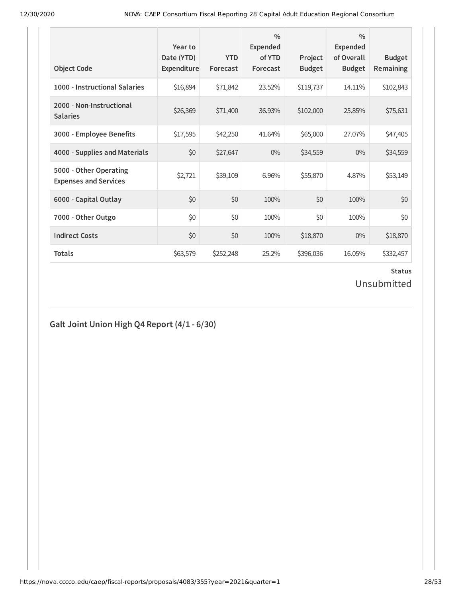| <b>Object Code</b>                                     | Year to<br>Date (YTD)<br>Expenditure | <b>YTD</b><br>Forecast | $\frac{0}{0}$<br><b>Expended</b><br>of YTD<br>Forecast | Project<br><b>Budget</b> | $\frac{0}{0}$<br><b>Expended</b><br>of Overall<br><b>Budget</b> | <b>Budget</b><br><b>Remaining</b> |
|--------------------------------------------------------|--------------------------------------|------------------------|--------------------------------------------------------|--------------------------|-----------------------------------------------------------------|-----------------------------------|
| 1000 - Instructional Salaries                          | \$16,894                             | \$71,842               | 23.52%                                                 | \$119,737                | 14.11%                                                          | \$102,843                         |
| 2000 - Non-Instructional<br><b>Salaries</b>            | \$26,369                             | \$71,400               | 36.93%                                                 | \$102,000                | 25.85%                                                          | \$75,631                          |
| 3000 - Employee Benefits                               | \$17,595                             | \$42,250               | 41.64%                                                 | \$65,000                 | 27.07%                                                          | \$47,405                          |
| 4000 - Supplies and Materials                          | \$0                                  | \$27,647               | $0\%$                                                  | \$34,559                 | $0\%$                                                           | \$34,559                          |
| 5000 - Other Operating<br><b>Expenses and Services</b> | \$2,721                              | \$39,109               | 6.96%                                                  | \$55,870                 | 4.87%                                                           | \$53,149                          |
| 6000 - Capital Outlay                                  | \$0                                  | \$0                    | 100%                                                   | \$0                      | 100%                                                            | \$0                               |
| 7000 - Other Outgo                                     | \$0                                  | \$0                    | 100%                                                   | \$0                      | 100%                                                            | \$0                               |
| <b>Indirect Costs</b>                                  | \$0                                  | \$0                    | 100%                                                   | \$18,870                 | $0\%$                                                           | \$18,870                          |
| <b>Totals</b>                                          | \$63,579                             | \$252,248              | 25.2%                                                  | \$396,036                | 16.05%                                                          | \$332,457                         |

## Unsubmitted

## **Galt Joint Union High Q4 Report (4/1 - 6/30)**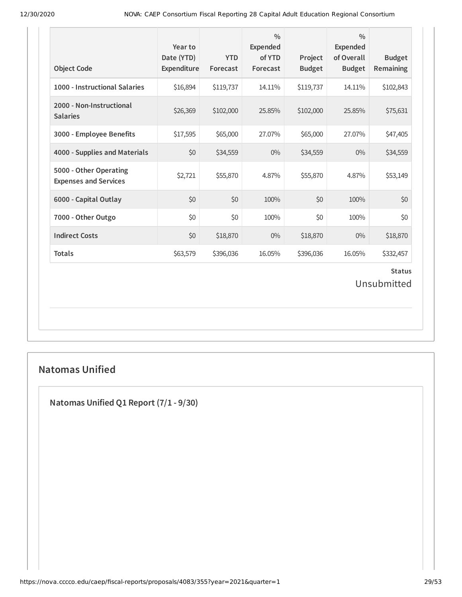| <b>Object Code</b>                                     | Year to<br>Date (YTD)<br>Expenditure | <b>YTD</b><br>Forecast | $\frac{0}{0}$<br>Expended<br>of YTD<br>Forecast | Project<br><b>Budget</b> | $\frac{0}{0}$<br>Expended<br>of Overall<br><b>Budget</b> | <b>Budget</b><br>Remaining   |
|--------------------------------------------------------|--------------------------------------|------------------------|-------------------------------------------------|--------------------------|----------------------------------------------------------|------------------------------|
| 1000 - Instructional Salaries                          | \$16,894                             | \$119,737              | 14.11%                                          | \$119,737                | 14.11%                                                   | \$102,843                    |
| 2000 - Non-Instructional<br><b>Salaries</b>            | \$26,369                             | \$102,000              | 25.85%                                          | \$102,000                | 25.85%                                                   | \$75,631                     |
| 3000 - Employee Benefits                               | \$17,595                             | \$65,000               | 27.07%                                          | \$65,000                 | 27.07%                                                   | \$47,405                     |
| 4000 - Supplies and Materials                          | \$0                                  | \$34,559               | $0\%$                                           | \$34,559                 | 0%                                                       | \$34,559                     |
| 5000 - Other Operating<br><b>Expenses and Services</b> | \$2,721                              | \$55,870               | 4.87%                                           | \$55,870                 | 4.87%                                                    | \$53,149                     |
| 6000 - Capital Outlay                                  | \$0                                  | \$0                    | 100%                                            | \$0                      | 100%                                                     | \$0                          |
| 7000 - Other Outgo                                     | \$0                                  | \$0                    | 100%                                            | \$0                      | 100%                                                     | \$0                          |
| <b>Indirect Costs</b>                                  | \$0                                  | \$18,870               | $0\%$                                           | \$18,870                 | 0%                                                       | \$18,870                     |
| <b>Totals</b>                                          | \$63,579                             | \$396,036              | 16.05%                                          | \$396,036                | 16.05%                                                   | \$332,457                    |
|                                                        |                                      |                        |                                                 |                          |                                                          | <b>Status</b><br>Unsubmitted |

### **Natomas Unified**

**Natomas Unified Q1 Report (7/1 - 9/30)**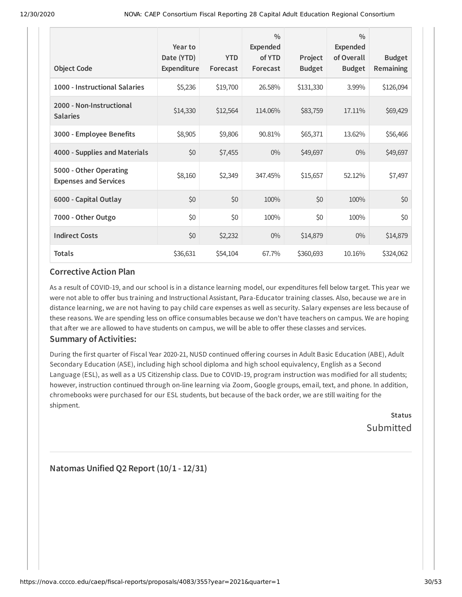|                                                        | Year to<br>Date (YTD) | <b>YTD</b> | $\frac{0}{0}$<br><b>Expended</b><br>of YTD | Project       | $\frac{0}{0}$<br><b>Expended</b><br>of Overall | <b>Budget</b> |
|--------------------------------------------------------|-----------------------|------------|--------------------------------------------|---------------|------------------------------------------------|---------------|
| <b>Object Code</b>                                     | Expenditure           | Forecast   | Forecast                                   | <b>Budget</b> | <b>Budget</b>                                  | Remaining     |
| 1000 - Instructional Salaries                          | \$5,236               | \$19,700   | 26.58%                                     | \$131,330     | 3.99%                                          | \$126,094     |
| 2000 - Non-Instructional<br><b>Salaries</b>            | \$14,330              | \$12,564   | 114.06%                                    | \$83,759      | 17.11%                                         | \$69,429      |
| 3000 - Employee Benefits                               | \$8,905               | \$9,806    | 90.81%                                     | \$65,371      | 13.62%                                         | \$56,466      |
| 4000 - Supplies and Materials                          | \$0                   | \$7,455    | $0\%$                                      | \$49,697      | $0\%$                                          | \$49,697      |
| 5000 - Other Operating<br><b>Expenses and Services</b> | \$8,160               | \$2,349    | 347.45%                                    | \$15,657      | 52.12%                                         | \$7,497       |
| 6000 - Capital Outlay                                  | \$0                   | \$0        | 100%                                       | \$0           | 100%                                           | \$0           |
| 7000 - Other Outgo                                     | \$0                   | \$0        | 100%                                       | \$0           | 100%                                           | \$0           |
| <b>Indirect Costs</b>                                  | \$0                   | \$2,232    | $0\%$                                      | \$14,879      | $0\%$                                          | \$14,879      |
| <b>Totals</b>                                          | \$36,631              | \$54,104   | 67.7%                                      | \$360,693     | 10.16%                                         | \$324,062     |

#### **Corrective Action Plan**

As a result of COVID-19, and our school is in a distance learning model, our expenditures fell below target. This year we were not able to offer bus training and Instructional Assistant, Para-Educator training classes. Also, because we are in distance learning, we are not having to pay child care expenses as well as security. Salary expenses are less because of these reasons. We are spending less on office consumables because we don't have teachers on campus. We are hoping that after we are allowed to have students on campus, we will be able to offer these classes and services.

### **Summary of Activities:**

During the first quarter of Fiscal Year 2020-21, NUSD continued offering courses in Adult Basic Education (ABE), Adult Secondary Education (ASE), including high school diploma and high school equivalency, English as a Second Language (ESL), as well as a US Citizenship class. Due to COVID-19, program instruction was modified for all students; however, instruction continued through on-line learning via Zoom, Google groups, email, text, and phone. In addition, chromebooks were purchased for our ESL students, but because of the back order, we are still waiting for the shipment.

**Status** Submitted

**Natomas Unified Q2 Report (10/1 - 12/31)**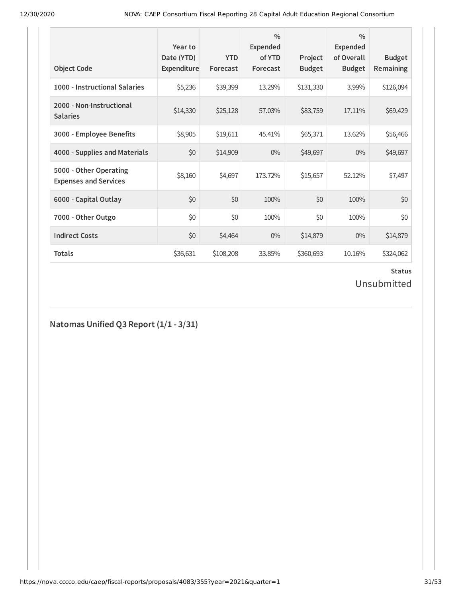| <b>Object Code</b>                                     | Year to<br>Date (YTD)<br>Expenditure | <b>YTD</b><br>Forecast | $\frac{0}{0}$<br>Expended<br>of YTD<br>Forecast | Project<br><b>Budget</b> | $\frac{0}{0}$<br>Expended<br>of Overall<br><b>Budget</b> | <b>Budget</b><br>Remaining |
|--------------------------------------------------------|--------------------------------------|------------------------|-------------------------------------------------|--------------------------|----------------------------------------------------------|----------------------------|
| 1000 - Instructional Salaries                          | \$5,236                              | \$39,399               | 13.29%                                          | \$131,330                | 3.99%                                                    | \$126,094                  |
| 2000 - Non-Instructional<br><b>Salaries</b>            | \$14,330                             | \$25,128               | 57.03%                                          | \$83,759                 | 17.11%                                                   | \$69,429                   |
| 3000 - Employee Benefits                               | \$8,905                              | \$19,611               | 45.41%                                          | \$65,371                 | 13.62%                                                   | \$56,466                   |
| 4000 - Supplies and Materials                          | \$0                                  | \$14,909               | $0\%$                                           | \$49,697                 | $0\%$                                                    | \$49,697                   |
| 5000 - Other Operating<br><b>Expenses and Services</b> | \$8,160                              | \$4,697                | 173.72%                                         | \$15,657                 | 52.12%                                                   | \$7,497                    |
| 6000 - Capital Outlay                                  | \$0                                  | \$0                    | 100%                                            | \$0                      | 100%                                                     | \$0                        |
| 7000 - Other Outgo                                     | \$0                                  | \$0                    | 100%                                            | \$0                      | 100%                                                     | \$0                        |
| <b>Indirect Costs</b>                                  | \$0                                  | \$4,464                | $0\%$                                           | \$14,879                 | $0\%$                                                    | \$14,879                   |
| <b>Totals</b>                                          | \$36,631                             | \$108,208              | 33.85%                                          | \$360,693                | 10.16%                                                   | \$324,062                  |

## Unsubmitted

**Natomas Unified Q3 Report (1/1 - 3/31)**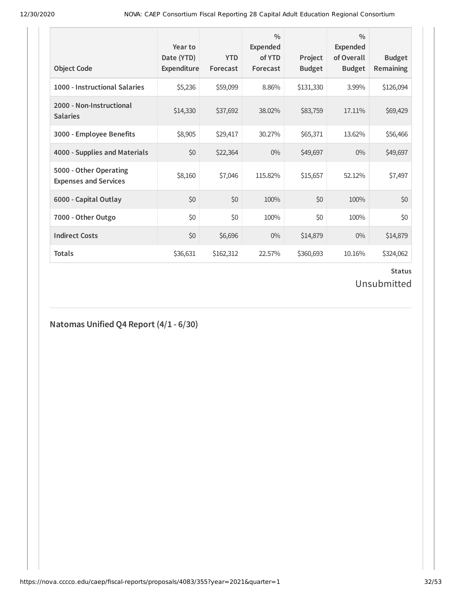| <b>Object Code</b>                                     | Year to<br>Date (YTD)<br>Expenditure | <b>YTD</b><br>Forecast | $\frac{0}{0}$<br>Expended<br>of YTD<br>Forecast | Project<br><b>Budget</b> | $\frac{0}{0}$<br>Expended<br>of Overall<br><b>Budget</b> | <b>Budget</b><br><b>Remaining</b> |
|--------------------------------------------------------|--------------------------------------|------------------------|-------------------------------------------------|--------------------------|----------------------------------------------------------|-----------------------------------|
| 1000 - Instructional Salaries                          | \$5,236                              | \$59,099               | 8.86%                                           | \$131,330                | 3.99%                                                    | \$126,094                         |
| 2000 - Non-Instructional<br><b>Salaries</b>            | \$14,330                             | \$37,692               | 38.02%                                          | \$83,759                 | 17.11%                                                   | \$69,429                          |
| 3000 - Employee Benefits                               | \$8,905                              | \$29,417               | 30.27%                                          | \$65,371                 | 13.62%                                                   | \$56,466                          |
| 4000 - Supplies and Materials                          | \$0                                  | \$22,364               | $0\%$                                           | \$49,697                 | $0\%$                                                    | \$49,697                          |
| 5000 - Other Operating<br><b>Expenses and Services</b> | \$8,160                              | \$7,046                | 115.82%                                         | \$15,657                 | 52.12%                                                   | \$7,497                           |
| 6000 - Capital Outlay                                  | \$0                                  | \$0                    | 100%                                            | \$0                      | 100%                                                     | \$0                               |
| 7000 - Other Outgo                                     | \$0                                  | \$0                    | 100%                                            | \$0                      | 100%                                                     | \$0                               |
| <b>Indirect Costs</b>                                  | \$0                                  | \$6,696                | $0\%$                                           | \$14,879                 | $0\%$                                                    | \$14,879                          |
| <b>Totals</b>                                          | \$36,631                             | \$162,312              | 22.57%                                          | \$360,693                | 10.16%                                                   | \$324,062                         |

Unsubmitted

**Natomas Unified Q4 Report (4/1 - 6/30)**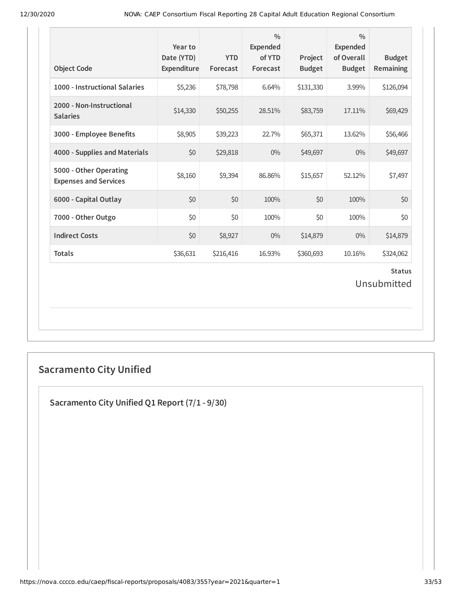| <b>Object Code</b>                                     | Year to<br>Date (YTD)<br>Expenditure | <b>YTD</b><br>Forecast | $\frac{0}{0}$<br><b>Expended</b><br>of YTD<br>Forecast | Project<br><b>Budget</b> | $\frac{0}{0}$<br><b>Expended</b><br>of Overall<br><b>Budget</b> | <b>Budget</b><br>Remaining |  |
|--------------------------------------------------------|--------------------------------------|------------------------|--------------------------------------------------------|--------------------------|-----------------------------------------------------------------|----------------------------|--|
| 1000 - Instructional Salaries                          | \$5,236                              | \$78,798               | 6.64%                                                  | \$131,330                | 3.99%                                                           | \$126,094                  |  |
| 2000 - Non-Instructional<br><b>Salaries</b>            | \$14,330                             | \$50,255               | 28.51%                                                 | \$83,759                 | 17.11%                                                          | \$69,429                   |  |
| 3000 - Employee Benefits                               | \$8,905                              | \$39,223               | 22.7%                                                  | \$65,371                 | 13.62%                                                          | \$56,466                   |  |
| 4000 - Supplies and Materials                          | \$0                                  | \$29,818               | $0\%$                                                  | \$49,697                 | $0\%$                                                           | \$49,697                   |  |
| 5000 - Other Operating<br><b>Expenses and Services</b> | \$8,160                              | \$9,394                | 86.86%                                                 | \$15,657                 | 52.12%                                                          | \$7,497                    |  |
| 6000 - Capital Outlay                                  | \$0                                  | \$0                    | 100%                                                   | \$0                      | 100%                                                            | \$0                        |  |
| 7000 - Other Outgo                                     | \$0                                  | \$0                    | 100%                                                   | \$0                      | 100%                                                            | \$0                        |  |
| <b>Indirect Costs</b>                                  | \$0                                  | \$8,927                | $0\%$                                                  | \$14,879                 | 0%                                                              | \$14,879                   |  |
| <b>Totals</b>                                          | \$36,631                             | \$216,416              | 16.93%                                                 | \$360,693                | 10.16%                                                          | \$324,062                  |  |
| <b>Status</b><br>Unsubmitted                           |                                      |                        |                                                        |                          |                                                                 |                            |  |

## **Sacramento City Unified**

**Sacramento City Unified Q1 Report (7/1 - 9/30)**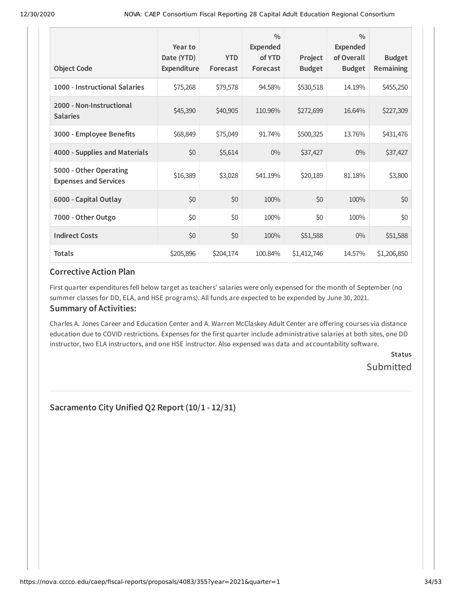| <b>Object Code</b>                                     | Year to<br>Date (YTD)<br>Expenditure | <b>YTD</b><br>Forecast | $\frac{0}{0}$<br><b>Expended</b><br>of YTD<br>Forecast | Project<br><b>Budget</b> | $\frac{0}{0}$<br><b>Expended</b><br>of Overall<br><b>Budget</b> | <b>Budget</b><br>Remaining |
|--------------------------------------------------------|--------------------------------------|------------------------|--------------------------------------------------------|--------------------------|-----------------------------------------------------------------|----------------------------|
| 1000 - Instructional Salaries                          | \$75,268                             | \$79,578               | 94.58%                                                 | \$530,518                | 14.19%                                                          | \$455,250                  |
| 2000 - Non-Instructional<br><b>Salaries</b>            | \$45,390                             | \$40,905               | 110.96%                                                | \$272,699                | 16.64%                                                          | \$227,309                  |
| 3000 - Employee Benefits                               | \$68,849                             | \$75,049               | 91.74%                                                 | \$500,325                | 13.76%                                                          | \$431,476                  |
| 4000 - Supplies and Materials                          | \$0                                  | \$5,614                | $0\%$                                                  | \$37,427                 | $0\%$                                                           | \$37,427                   |
| 5000 - Other Operating<br><b>Expenses and Services</b> | \$16,389                             | \$3,028                | 541.19%                                                | \$20,189                 | 81.18%                                                          | \$3,800                    |
| 6000 - Capital Outlay                                  | \$0                                  | \$0                    | 100%                                                   | \$0                      | 100%                                                            | \$0                        |
| 7000 - Other Outgo                                     | \$0                                  | \$0                    | 100%                                                   | \$0                      | 100%                                                            | \$0                        |
| <b>Indirect Costs</b>                                  | \$0                                  | \$0                    | 100%                                                   | \$51,588                 | $0\%$                                                           | \$51,588                   |
| <b>Totals</b>                                          | \$205,896                            | \$204,174              | 100.84%                                                | \$1,412,746              | 14.57%                                                          | \$1,206,850                |

### **Corrective Action Plan**

First quarter expenditures fell below target as teachers' salaries were only expensed for the month of September (no summer classes for DD, ELA, and HSE programs). All funds are expected to be expended by June 30, 2021.

### **Summary of Activities:**

Charles A. Jones Career and Education Center and A. Warren McClaskey Adult Center are offering courses via distance education due to COVID restrictions. Expenses for the first quarter include administrative salaries at both sites, one DD instructor, two ELA instructors, and one HSE instructor. Also expensed was data and accountability software.

> **Status** Submitted

**Sacramento City Unified Q2 Report (10/1 - 12/31)**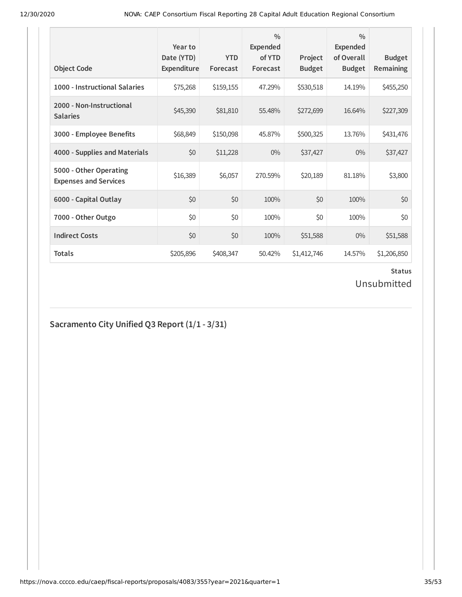| <b>Object Code</b>                                     | Year to<br>Date (YTD)<br>Expenditure | <b>YTD</b><br>Forecast | $\frac{0}{0}$<br>Expended<br>of YTD<br>Forecast | Project<br><b>Budget</b> | $\frac{0}{0}$<br>Expended<br>of Overall<br><b>Budget</b> | <b>Budget</b><br><b>Remaining</b> |
|--------------------------------------------------------|--------------------------------------|------------------------|-------------------------------------------------|--------------------------|----------------------------------------------------------|-----------------------------------|
| 1000 - Instructional Salaries                          | \$75,268                             | \$159,155              | 47.29%                                          | \$530,518                | 14.19%                                                   | \$455,250                         |
| 2000 - Non-Instructional<br><b>Salaries</b>            | \$45,390                             | \$81,810               | 55.48%                                          | \$272,699                | 16.64%                                                   | \$227,309                         |
| 3000 - Employee Benefits                               | \$68,849                             | \$150,098              | 45.87%                                          | \$500,325                | 13.76%                                                   | \$431,476                         |
| 4000 - Supplies and Materials                          | \$0                                  | \$11,228               | $0\%$                                           | \$37,427                 | $0\%$                                                    | \$37,427                          |
| 5000 - Other Operating<br><b>Expenses and Services</b> | \$16,389                             | \$6,057                | 270.59%                                         | \$20,189                 | 81.18%                                                   | \$3,800                           |
| 6000 - Capital Outlay                                  | \$0                                  | \$0                    | 100%                                            | \$0                      | 100%                                                     | \$0                               |
| 7000 - Other Outgo                                     | \$0                                  | \$0                    | 100%                                            | \$0                      | 100%                                                     | \$0                               |
| <b>Indirect Costs</b>                                  | \$0                                  | \$0                    | 100%                                            | \$51,588                 | $0\%$                                                    | \$51,588                          |
| <b>Totals</b>                                          | \$205,896                            | \$408,347              | 50.42%                                          | \$1,412,746              | 14.57%                                                   | \$1,206,850                       |

Unsubmitted

## **Sacramento City Unified Q3 Report (1/1 - 3/31)**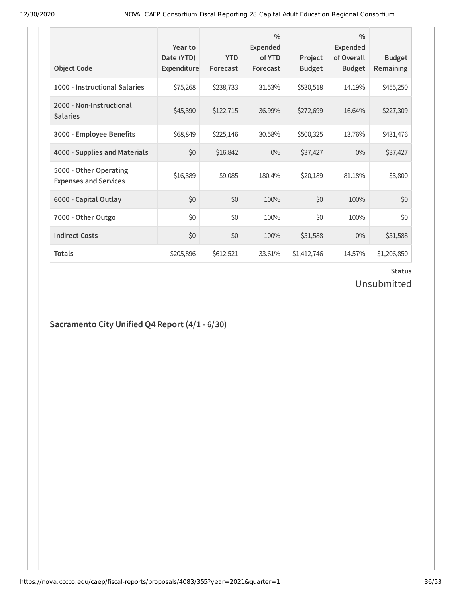| <b>Object Code</b>                                     | Year to<br>Date (YTD)<br>Expenditure | <b>YTD</b><br>Forecast | $\frac{0}{0}$<br><b>Expended</b><br>of YTD<br>Forecast | Project<br><b>Budget</b> | $\frac{0}{0}$<br><b>Expended</b><br>of Overall<br><b>Budget</b> | <b>Budget</b><br>Remaining |
|--------------------------------------------------------|--------------------------------------|------------------------|--------------------------------------------------------|--------------------------|-----------------------------------------------------------------|----------------------------|
| 1000 - Instructional Salaries                          | \$75,268                             | \$238,733              | 31.53%                                                 | \$530,518                | 14.19%                                                          | \$455,250                  |
| 2000 - Non-Instructional<br><b>Salaries</b>            | \$45,390                             | \$122,715              | 36.99%                                                 | \$272,699                | 16.64%                                                          | \$227,309                  |
| 3000 - Employee Benefits                               | \$68,849                             | \$225,146              | 30.58%                                                 | \$500,325                | 13.76%                                                          | \$431,476                  |
| 4000 - Supplies and Materials                          | \$0                                  | \$16,842               | $0\%$                                                  | \$37,427                 | $0\%$                                                           | \$37,427                   |
| 5000 - Other Operating<br><b>Expenses and Services</b> | \$16,389                             | \$9,085                | 180.4%                                                 | \$20,189                 | 81.18%                                                          | \$3,800                    |
| 6000 - Capital Outlay                                  | \$0                                  | \$0                    | 100%                                                   | \$0                      | 100%                                                            | \$0                        |
| 7000 - Other Outgo                                     | \$0                                  | \$0                    | 100%                                                   | \$0                      | 100%                                                            | \$0                        |
| <b>Indirect Costs</b>                                  | \$0                                  | \$0                    | 100%                                                   | \$51,588                 | $0\%$                                                           | \$51,588                   |
| <b>Totals</b>                                          | \$205,896                            | \$612,521              | 33.61%                                                 | \$1,412,746              | 14.57%                                                          | \$1,206,850                |

Unsubmitted

### **Sacramento City Unified Q4 Report (4/1 - 6/30)**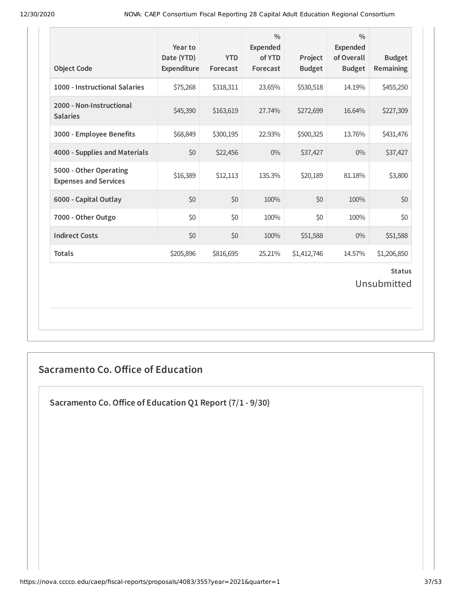| <b>Object Code</b>                                     | Year to<br>Date (YTD)<br>Expenditure | <b>YTD</b><br>Forecast | $\frac{0}{0}$<br><b>Expended</b><br>of YTD<br>Forecast | Project<br><b>Budget</b> | $\frac{0}{0}$<br><b>Expended</b><br>of Overall<br><b>Budget</b> | <b>Budget</b><br>Remaining |  |  |
|--------------------------------------------------------|--------------------------------------|------------------------|--------------------------------------------------------|--------------------------|-----------------------------------------------------------------|----------------------------|--|--|
| 1000 - Instructional Salaries                          | \$75,268                             | \$318,311              | 23.65%                                                 | \$530,518                | 14.19%                                                          | \$455,250                  |  |  |
| 2000 - Non-Instructional<br><b>Salaries</b>            | \$45,390                             | \$163,619              | 27.74%                                                 | \$272,699                | 16.64%                                                          | \$227,309                  |  |  |
| 3000 - Employee Benefits                               | \$68,849                             | \$300,195              | 22.93%                                                 | \$500,325                | 13.76%                                                          | \$431,476                  |  |  |
| 4000 - Supplies and Materials                          | \$0                                  | \$22,456               | $0\%$                                                  | \$37,427                 | $0\%$                                                           | \$37,427                   |  |  |
| 5000 - Other Operating<br><b>Expenses and Services</b> | \$16,389                             | \$12,113               | 135.3%                                                 | \$20,189                 | 81.18%                                                          | \$3,800                    |  |  |
| 6000 - Capital Outlay                                  | \$0                                  | \$0                    | 100%                                                   | \$0                      | 100%                                                            | \$0                        |  |  |
| 7000 - Other Outgo                                     | \$0                                  | \$0                    | 100%                                                   | \$0                      | 100%                                                            | \$0                        |  |  |
| <b>Indirect Costs</b>                                  | \$0                                  | \$0                    | 100%                                                   | \$51,588                 | $0\%$                                                           | \$51,588                   |  |  |
| <b>Totals</b>                                          | \$205,896                            | \$816,695              | 25.21%                                                 | \$1,412,746              | 14.57%                                                          | \$1,206,850                |  |  |
| <b>Status</b><br>Unsubmitted                           |                                      |                        |                                                        |                          |                                                                 |                            |  |  |

## **Sacramento Co. Office of Education**

**Sacramento Co.Oice of Education Q1 Report (7/1 - 9/30)**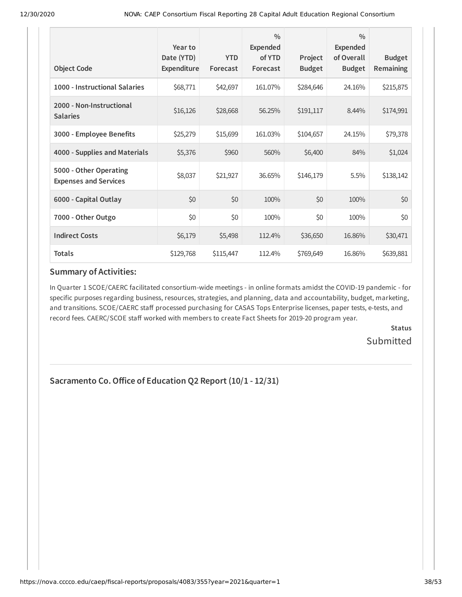| <b>Object Code</b>                                     | Year to<br>Date (YTD)<br>Expenditure | <b>YTD</b><br>Forecast | $\frac{0}{0}$<br><b>Expended</b><br>of YTD<br>Forecast | Project<br><b>Budget</b> | $\frac{0}{0}$<br><b>Expended</b><br>of Overall<br><b>Budget</b> | <b>Budget</b><br><b>Remaining</b> |
|--------------------------------------------------------|--------------------------------------|------------------------|--------------------------------------------------------|--------------------------|-----------------------------------------------------------------|-----------------------------------|
| 1000 - Instructional Salaries                          | \$68,771                             | \$42,697               | 161.07%                                                | \$284,646                | 24.16%                                                          | \$215,875                         |
| 2000 - Non-Instructional<br><b>Salaries</b>            | \$16,126                             | \$28,668               | 56.25%                                                 | \$191,117                | 8.44%                                                           | \$174,991                         |
| 3000 - Employee Benefits                               | \$25,279                             | \$15,699               | 161.03%                                                | \$104,657                | 24.15%                                                          | \$79,378                          |
| 4000 - Supplies and Materials                          | \$5,376                              | \$960                  | 560%                                                   | \$6,400                  | 84%                                                             | \$1,024                           |
| 5000 - Other Operating<br><b>Expenses and Services</b> | \$8,037                              | \$21,927               | 36.65%                                                 | \$146,179                | 5.5%                                                            | \$138,142                         |
| 6000 - Capital Outlay                                  | \$0                                  | \$0                    | 100%                                                   | \$0                      | 100%                                                            | \$0                               |
| 7000 - Other Outgo                                     | \$0                                  | \$0                    | 100%                                                   | \$0                      | 100%                                                            | \$0                               |
| <b>Indirect Costs</b>                                  | \$6,179                              | \$5,498                | 112.4%                                                 | \$36,650                 | 16.86%                                                          | \$30,471                          |
| <b>Totals</b>                                          | \$129,768                            | \$115,447              | 112.4%                                                 | \$769,649                | 16.86%                                                          | \$639,881                         |

### **Summary of Activities:**

In Quarter 1 SCOE/CAERC facilitated consortium-wide meetings - in online formats amidst the COVID-19 pandemic - for specific purposes regarding business, resources, strategies, and planning, data and accountability, budget, marketing, and transitions. SCOE/CAERC staff processed purchasing for CASAS Tops Enterprise licenses, paper tests, e-tests, and record fees. CAERC/SCOE staff worked with members to create Fact Sheets for 2019-20 program year.

> **Status Submitted**

### **Sacramento Co.Oice of Education Q2 Report (10/1 - 12/31)**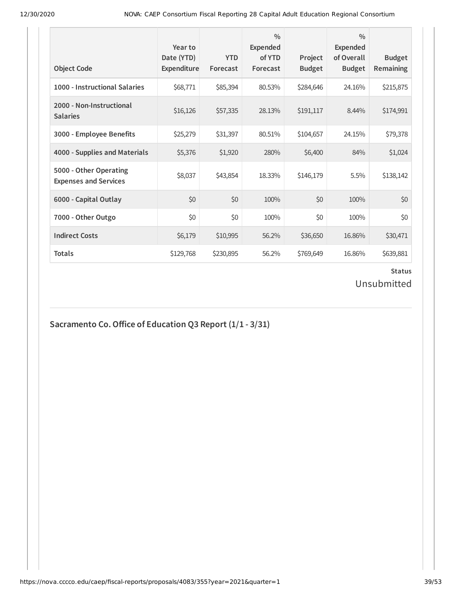| <b>Object Code</b>                                     | Year to<br>Date (YTD)<br>Expenditure | <b>YTD</b><br>Forecast | $\frac{0}{0}$<br>Expended<br>of YTD<br>Forecast | Project<br><b>Budget</b> | $\frac{0}{0}$<br><b>Expended</b><br>of Overall<br><b>Budget</b> | <b>Budget</b><br><b>Remaining</b> |
|--------------------------------------------------------|--------------------------------------|------------------------|-------------------------------------------------|--------------------------|-----------------------------------------------------------------|-----------------------------------|
| 1000 - Instructional Salaries                          | \$68,771                             | \$85,394               | 80.53%                                          | \$284,646                | 24.16%                                                          | \$215,875                         |
| 2000 - Non-Instructional<br><b>Salaries</b>            | \$16,126                             | \$57,335               | 28.13%                                          | \$191,117                | 8.44%                                                           | \$174,991                         |
| 3000 - Employee Benefits                               | \$25,279                             | \$31,397               | 80.51%                                          | \$104,657                | 24.15%                                                          | \$79,378                          |
| 4000 - Supplies and Materials                          | \$5,376                              | \$1,920                | 280%                                            | \$6,400                  | 84%                                                             | \$1,024                           |
| 5000 - Other Operating<br><b>Expenses and Services</b> | \$8,037                              | \$43,854               | 18.33%                                          | \$146,179                | 5.5%                                                            | \$138,142                         |
| 6000 - Capital Outlay                                  | \$0                                  | \$0                    | 100%                                            | \$0                      | 100%                                                            | \$0                               |
| 7000 - Other Outgo                                     | \$0                                  | \$0                    | 100%                                            | \$0                      | 100%                                                            | \$0                               |
| <b>Indirect Costs</b>                                  | \$6,179                              | \$10,995               | 56.2%                                           | \$36,650                 | 16.86%                                                          | \$30,471                          |
| <b>Totals</b>                                          | \$129,768                            | \$230,895              | 56.2%                                           | \$769,649                | 16.86%                                                          | \$639,881                         |

### **Status** Unsubmitted

## **Sacramento Co.Oice of Education Q3 Report (1/1 - 3/31)**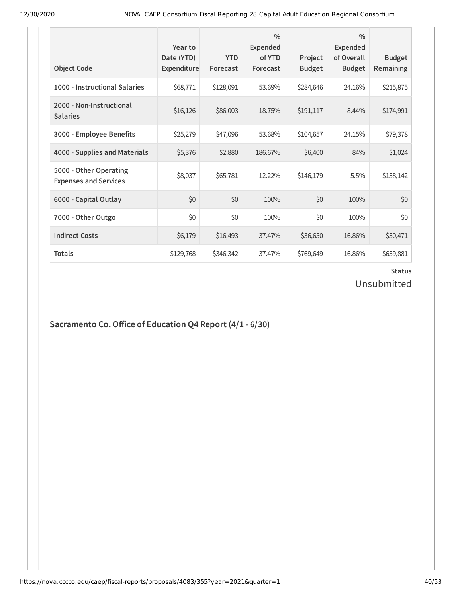| <b>Object Code</b>                                     | Year to<br>Date (YTD)<br>Expenditure | <b>YTD</b><br>Forecast | $\frac{0}{0}$<br>Expended<br>of YTD<br>Forecast | Project<br><b>Budget</b> | $\frac{0}{0}$<br>Expended<br>of Overall<br><b>Budget</b> | <b>Budget</b><br><b>Remaining</b> |
|--------------------------------------------------------|--------------------------------------|------------------------|-------------------------------------------------|--------------------------|----------------------------------------------------------|-----------------------------------|
| 1000 - Instructional Salaries                          | \$68,771                             | \$128,091              | 53.69%                                          | \$284,646                | 24.16%                                                   | \$215,875                         |
| 2000 - Non-Instructional<br><b>Salaries</b>            | \$16,126                             | \$86,003               | 18.75%                                          | \$191,117                | 8.44%                                                    | \$174,991                         |
| 3000 - Employee Benefits                               | \$25,279                             | \$47,096               | 53.68%                                          | \$104,657                | 24.15%                                                   | \$79,378                          |
| 4000 - Supplies and Materials                          | \$5,376                              | \$2,880                | 186.67%                                         | \$6,400                  | 84%                                                      | \$1,024                           |
| 5000 - Other Operating<br><b>Expenses and Services</b> | \$8,037                              | \$65,781               | 12.22%                                          | \$146,179                | 5.5%                                                     | \$138,142                         |
| 6000 - Capital Outlay                                  | \$0                                  | \$0                    | 100%                                            | \$0                      | 100%                                                     | \$0                               |
| 7000 - Other Outgo                                     | \$0                                  | \$0                    | 100%                                            | \$0                      | 100%                                                     | \$0                               |
| <b>Indirect Costs</b>                                  | \$6,179                              | \$16,493               | 37.47%                                          | \$36,650                 | 16.86%                                                   | \$30,471                          |
| <b>Totals</b>                                          | \$129,768                            | \$346,342              | 37.47%                                          | \$769,649                | 16.86%                                                   | \$639,881                         |

### **Status** Unsubmitted

## **Sacramento Co.Oice of Education Q4 Report (4/1 - 6/30)**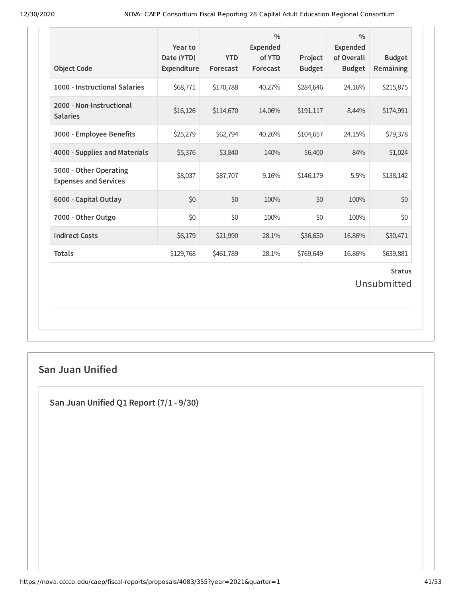| <b>Object Code</b>                                     | Year to<br>Date (YTD)<br>Expenditure | <b>YTD</b><br>Forecast | $\frac{0}{0}$<br><b>Expended</b><br>of YTD<br>Forecast | Project<br><b>Budget</b> | $\frac{0}{0}$<br><b>Expended</b><br>of Overall<br><b>Budget</b> | <b>Budget</b><br>Remaining |  |
|--------------------------------------------------------|--------------------------------------|------------------------|--------------------------------------------------------|--------------------------|-----------------------------------------------------------------|----------------------------|--|
| 1000 - Instructional Salaries                          | \$68,771                             | \$170,788              | 40.27%                                                 | \$284,646                | 24.16%                                                          | \$215,875                  |  |
| 2000 - Non-Instructional<br><b>Salaries</b>            | \$16,126                             | \$114,670              | 14.06%                                                 | \$191,117                | 8.44%                                                           | \$174,991                  |  |
| 3000 - Employee Benefits                               | \$25,279                             | \$62,794               | 40.26%                                                 | \$104,657                | 24.15%                                                          | \$79,378                   |  |
| 4000 - Supplies and Materials                          | \$5,376                              | \$3,840                | 140%                                                   | \$6,400                  | 84%                                                             | \$1,024                    |  |
| 5000 - Other Operating<br><b>Expenses and Services</b> | \$8,037                              | \$87,707               | 9.16%                                                  | \$146,179                | 5.5%                                                            | \$138,142                  |  |
| 6000 - Capital Outlay                                  | \$0                                  | \$0                    | 100%                                                   | \$0                      | 100%                                                            | \$0                        |  |
| 7000 - Other Outgo                                     | \$0                                  | \$0                    | 100%                                                   | \$0                      | 100%                                                            | \$0                        |  |
| <b>Indirect Costs</b>                                  | \$6,179                              | \$21,990               | 28.1%                                                  | \$36,650                 | 16.86%                                                          | \$30,471                   |  |
| <b>Totals</b>                                          | \$129,768                            | \$461,789              | 28.1%                                                  | \$769,649                | 16.86%                                                          | \$639,881                  |  |
| <b>Status</b><br>Unsubmitted                           |                                      |                        |                                                        |                          |                                                                 |                            |  |

### **San Juan Unified**

**San Juan Unified Q1 Report (7/1 - 9/30)**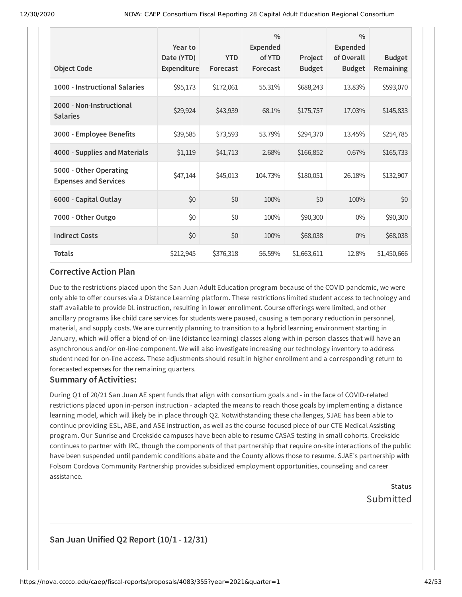| <b>Object Code</b>                                     | Year to<br>Date (YTD)<br>Expenditure | <b>YTD</b><br>Forecast | $\frac{0}{0}$<br><b>Expended</b><br>of YTD<br>Forecast | Project<br><b>Budget</b> | $\frac{0}{0}$<br><b>Expended</b><br>of Overall<br><b>Budget</b> | <b>Budget</b><br><b>Remaining</b> |
|--------------------------------------------------------|--------------------------------------|------------------------|--------------------------------------------------------|--------------------------|-----------------------------------------------------------------|-----------------------------------|
| 1000 - Instructional Salaries                          | \$95,173                             | \$172,061              | 55.31%                                                 | \$688,243                | 13.83%                                                          | \$593,070                         |
| 2000 - Non-Instructional<br><b>Salaries</b>            | \$29,924                             | \$43,939               | 68.1%                                                  | \$175,757                | 17.03%                                                          | \$145,833                         |
| 3000 - Employee Benefits                               | \$39,585                             | \$73,593               | 53.79%                                                 | \$294,370                | 13.45%                                                          | \$254,785                         |
| 4000 - Supplies and Materials                          | \$1,119                              | \$41,713               | 2.68%                                                  | \$166,852                | 0.67%                                                           | \$165,733                         |
| 5000 - Other Operating<br><b>Expenses and Services</b> | \$47,144                             | \$45,013               | 104.73%                                                | \$180,051                | 26.18%                                                          | \$132,907                         |
| 6000 - Capital Outlay                                  | \$0                                  | \$0                    | 100%                                                   | \$0                      | 100%                                                            | \$0                               |
| 7000 - Other Outgo                                     | \$0                                  | \$0                    | 100%                                                   | \$90,300                 | $0\%$                                                           | \$90,300                          |
| <b>Indirect Costs</b>                                  | \$0                                  | \$0                    | 100%                                                   | \$68,038                 | $0\%$                                                           | \$68,038                          |
| <b>Totals</b>                                          | \$212,945                            | \$376,318              | 56.59%                                                 | \$1,663,611              | 12.8%                                                           | \$1,450,666                       |

### **Corrective Action Plan**

Due to the restrictions placed upon the San Juan Adult Education program because of the COVID pandemic, we were only able to offer courses via a Distance Learning platform. These restrictions limited student access to technology and staff available to provide DL instruction, resulting in lower enrollment. Course offerings were limited, and other ancillary programs like child care services for students were paused, causing a temporary reduction in personnel, material, and supply costs. We are currently planning to transition to a hybrid learning environment starting in January, which will offer a blend of on-line (distance learning) classes along with in-person classes that will have an asynchronous and/or on-line component. We will also investigate increasing our technology inventory to address student need for on-line access. These adjustments should result in higher enrollment and a corresponding return to forecasted expenses for the remaining quarters.

### **Summary of Activities:**

During Q1 of 20/21 San Juan AE spent funds that align with consortium goals and - in the face of COVID-related restrictions placed upon in-person instruction - adapted the means to reach those goals by implementing a distance learning model, which will likely be in place through Q2. Notwithstanding these challenges, SJAE has been able to continue providing ESL, ABE, and ASE instruction, as well as the course-focused piece of our CTE Medical Assisting program. Our Sunrise and Creekside campuses have been able to resume CASAS testing in small cohorts. Creekside continues to partner with IRC, though the components of that partnership that require on-site interactions of the public have been suspended until pandemic conditions abate and the County allows those to resume. SJAE's partnership with Folsom Cordova Community Partnership provides subsidized employment opportunities, counseling and career assistance.

> **Status** Submitted

### **San Juan Unified Q2 Report (10/1 - 12/31)**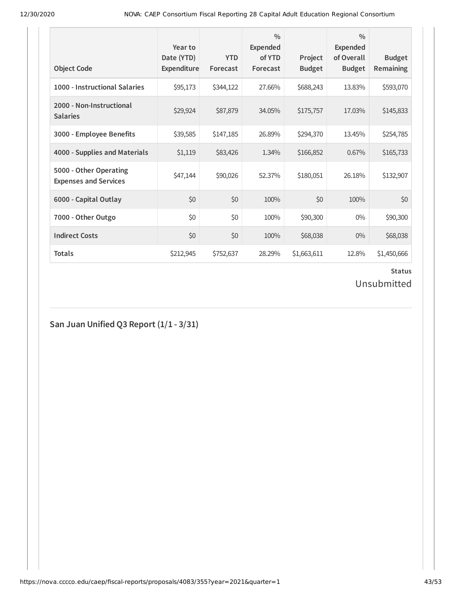| <b>Object Code</b>                                     | Year to<br>Date (YTD)<br><b>Expenditure</b> | <b>YTD</b><br>Forecast | $\frac{0}{0}$<br><b>Expended</b><br>of YTD<br>Forecast | Project<br><b>Budget</b> | $\frac{0}{0}$<br><b>Expended</b><br>of Overall<br><b>Budget</b> | <b>Budget</b><br><b>Remaining</b> |
|--------------------------------------------------------|---------------------------------------------|------------------------|--------------------------------------------------------|--------------------------|-----------------------------------------------------------------|-----------------------------------|
| 1000 - Instructional Salaries                          | \$95,173                                    | \$344,122              | 27.66%                                                 | \$688,243                | 13.83%                                                          | \$593,070                         |
| 2000 - Non-Instructional<br><b>Salaries</b>            | \$29,924                                    | \$87,879               | 34.05%                                                 | \$175,757                | 17.03%                                                          | \$145,833                         |
| 3000 - Employee Benefits                               | \$39,585                                    | \$147,185              | 26.89%                                                 | \$294,370                | 13.45%                                                          | \$254,785                         |
| 4000 - Supplies and Materials                          | \$1,119                                     | \$83,426               | 1.34%                                                  | \$166,852                | 0.67%                                                           | \$165,733                         |
| 5000 - Other Operating<br><b>Expenses and Services</b> | \$47,144                                    | \$90,026               | 52.37%                                                 | \$180,051                | 26.18%                                                          | \$132,907                         |
| 6000 - Capital Outlay                                  | \$0                                         | \$0                    | 100%                                                   | \$0                      | 100%                                                            | \$0                               |
| 7000 - Other Outgo                                     | \$0                                         | \$0                    | 100%                                                   | \$90,300                 | $0\%$                                                           | \$90,300                          |
| <b>Indirect Costs</b>                                  | \$0                                         | \$0                    | 100%                                                   | \$68,038                 | $0\%$                                                           | \$68,038                          |
| <b>Totals</b>                                          | \$212,945                                   | \$752,637              | 28.29%                                                 | \$1,663,611              | 12.8%                                                           | \$1,450,666                       |

Unsubmitted

**San Juan Unified Q3 Report (1/1 - 3/31)**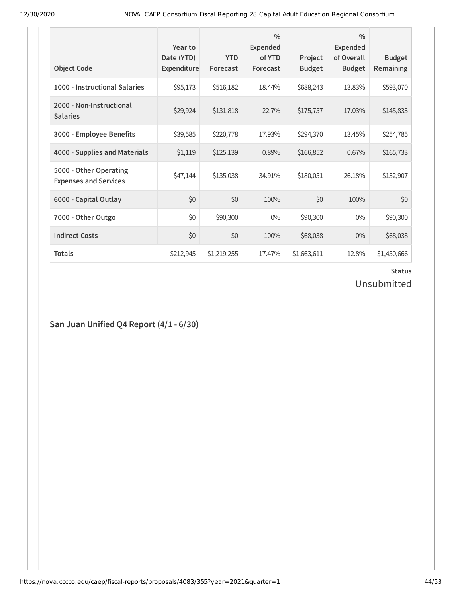| <b>Object Code</b>                                     | Year to<br>Date (YTD)<br>Expenditure | <b>YTD</b><br>Forecast | $\frac{0}{0}$<br><b>Expended</b><br>of YTD<br>Forecast | Project<br><b>Budget</b> | $\frac{0}{0}$<br><b>Expended</b><br>of Overall<br><b>Budget</b> | <b>Budget</b><br><b>Remaining</b> |
|--------------------------------------------------------|--------------------------------------|------------------------|--------------------------------------------------------|--------------------------|-----------------------------------------------------------------|-----------------------------------|
| 1000 - Instructional Salaries                          | \$95,173                             | \$516,182              | 18.44%                                                 | \$688,243                | 13.83%                                                          | \$593,070                         |
| 2000 - Non-Instructional<br><b>Salaries</b>            | \$29,924                             | \$131,818              | 22.7%                                                  | \$175,757                | 17.03%                                                          | \$145,833                         |
| 3000 - Employee Benefits                               | \$39,585                             | \$220,778              | 17.93%                                                 | \$294,370                | 13.45%                                                          | \$254,785                         |
| 4000 - Supplies and Materials                          | \$1,119                              | \$125,139              | 0.89%                                                  | \$166,852                | 0.67%                                                           | \$165,733                         |
| 5000 - Other Operating<br><b>Expenses and Services</b> | \$47,144                             | \$135,038              | 34.91%                                                 | \$180,051                | 26.18%                                                          | \$132,907                         |
| 6000 - Capital Outlay                                  | \$0                                  | \$0                    | 100%                                                   | \$0                      | 100%                                                            | \$0                               |
| 7000 - Other Outgo                                     | \$0                                  | \$90,300               | $0\%$                                                  | \$90,300                 | $0\%$                                                           | \$90,300                          |
| <b>Indirect Costs</b>                                  | \$0                                  | \$0                    | 100%                                                   | \$68,038                 | $0\%$                                                           | \$68,038                          |
| <b>Totals</b>                                          | \$212,945                            | \$1,219,255            | 17.47%                                                 | \$1,663,611              | 12.8%                                                           | \$1,450,666                       |

Unsubmitted

**San Juan Unified Q4 Report (4/1 - 6/30)**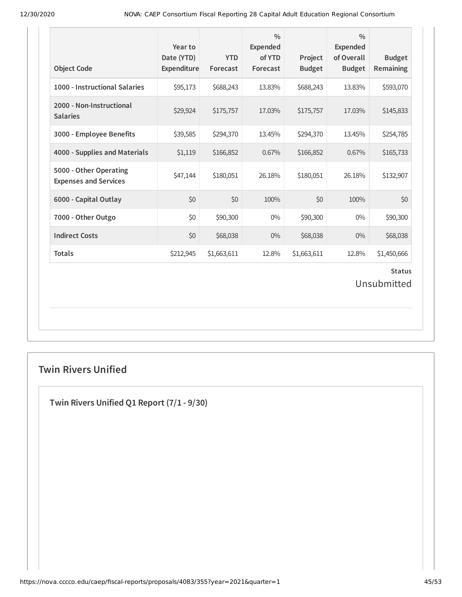| <b>Object Code</b>                                     | Year to<br>Date (YTD)<br>Expenditure | <b>YTD</b><br>Forecast | $\frac{0}{0}$<br><b>Expended</b><br>of YTD<br>Forecast | Project<br><b>Budget</b> | $\frac{0}{0}$<br><b>Expended</b><br>of Overall<br><b>Budget</b> | <b>Budget</b><br><b>Remaining</b> |
|--------------------------------------------------------|--------------------------------------|------------------------|--------------------------------------------------------|--------------------------|-----------------------------------------------------------------|-----------------------------------|
| 1000 - Instructional Salaries                          | \$95,173                             | \$688,243              | 13.83%                                                 | \$688,243                | 13.83%                                                          | \$593,070                         |
| 2000 - Non-Instructional<br><b>Salaries</b>            | \$29,924                             | \$175,757              | 17.03%                                                 | \$175,757                | 17.03%                                                          | \$145,833                         |
| 3000 - Employee Benefits                               | \$39,585                             | \$294,370              | 13.45%                                                 | \$294,370                | 13.45%                                                          | \$254,785                         |
| 4000 - Supplies and Materials                          | \$1,119                              | \$166,852              | 0.67%                                                  | \$166,852                | 0.67%                                                           | \$165,733                         |
| 5000 - Other Operating<br><b>Expenses and Services</b> | \$47,144                             | \$180,051              | 26.18%                                                 | \$180,051                | 26.18%                                                          | \$132,907                         |
| 6000 - Capital Outlay                                  | \$0                                  | \$0                    | 100%                                                   | \$0                      | 100%                                                            | \$0                               |
| 7000 - Other Outgo                                     | \$0                                  | \$90,300               | $0\%$                                                  | \$90,300                 | $0\%$                                                           | \$90,300                          |
| <b>Indirect Costs</b>                                  | \$0                                  | \$68,038               | $0\%$                                                  | \$68,038                 | 0%                                                              | \$68,038                          |
| <b>Totals</b>                                          | \$212,945                            | \$1,663,611            | 12.8%                                                  | \$1,663,611              | 12.8%                                                           | \$1,450,666                       |
|                                                        |                                      |                        |                                                        |                          |                                                                 | <b>Status</b><br>Unsubmitted      |

## **Twin Rivers Unified**

**Twin Rivers Unified Q1 Report (7/1 - 9/30)**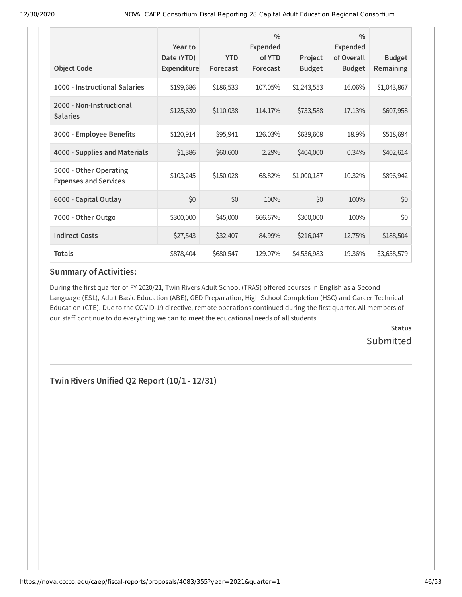| <b>Object Code</b>                                     | Year to<br>Date (YTD)<br>Expenditure | <b>YTD</b><br>Forecast | $\frac{0}{0}$<br><b>Expended</b><br>of YTD<br>Forecast | Project<br><b>Budget</b> | $\frac{0}{0}$<br><b>Expended</b><br>of Overall<br><b>Budget</b> | <b>Budget</b><br><b>Remaining</b> |
|--------------------------------------------------------|--------------------------------------|------------------------|--------------------------------------------------------|--------------------------|-----------------------------------------------------------------|-----------------------------------|
| 1000 - Instructional Salaries                          | \$199,686                            | \$186,533              | 107.05%                                                | \$1,243,553              | 16.06%                                                          | \$1,043,867                       |
| 2000 - Non-Instructional<br><b>Salaries</b>            | \$125,630                            | \$110,038              | 114.17%                                                | \$733,588                | 17.13%                                                          | \$607,958                         |
| 3000 - Employee Benefits                               | \$120,914                            | \$95,941               | 126.03%                                                | \$639,608                | 18.9%                                                           | \$518,694                         |
| 4000 - Supplies and Materials                          | \$1,386                              | \$60,600               | 2.29%                                                  | \$404,000                | $0.34\%$                                                        | \$402,614                         |
| 5000 - Other Operating<br><b>Expenses and Services</b> | \$103,245                            | \$150,028              | 68.82%                                                 | \$1,000,187              | 10.32%                                                          | \$896,942                         |
| 6000 - Capital Outlay                                  | \$0                                  | \$0                    | 100%                                                   | \$0                      | 100%                                                            | \$0                               |
| 7000 - Other Outgo                                     | \$300,000                            | \$45,000               | 666.67%                                                | \$300,000                | 100%                                                            | \$0                               |
| <b>Indirect Costs</b>                                  | \$27,543                             | \$32,407               | 84.99%                                                 | \$216,047                | 12.75%                                                          | \$188,504                         |
| <b>Totals</b>                                          | \$878,404                            | \$680,547              | 129.07%                                                | \$4,536,983              | 19.36%                                                          | \$3,658,579                       |

### **Summary of Activities:**

During the first quarter of FY 2020/21, Twin Rivers Adult School (TRAS) offered courses in English as a Second Language (ESL), Adult Basic Education (ABE), GED Preparation, High School Completion (HSC) and Career Technical Education (CTE). Due to the COVID-19 directive, remote operations continued during the first quarter. All members of our staff continue to do everything we can to meet the educational needs of all students.

> **Status** Submitted

**Twin Rivers Unified Q2 Report (10/1 - 12/31)**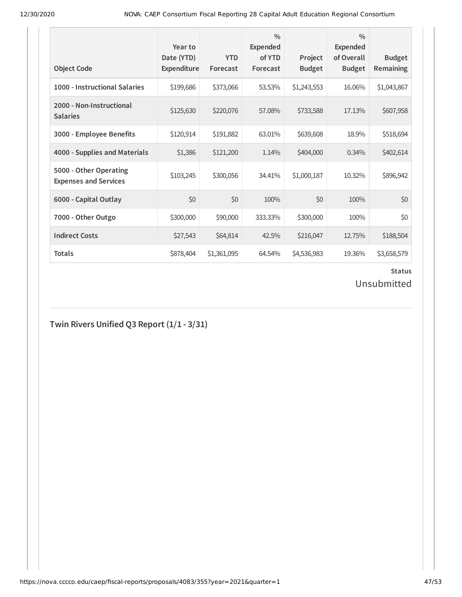| <b>Object Code</b>                                     | Year to<br>Date (YTD)<br><b>Expenditure</b> | <b>YTD</b><br>Forecast | $\frac{0}{0}$<br><b>Expended</b><br>of YTD<br>Forecast | Project<br><b>Budget</b> | $\frac{0}{0}$<br><b>Expended</b><br>of Overall<br><b>Budget</b> | <b>Budget</b><br><b>Remaining</b> |
|--------------------------------------------------------|---------------------------------------------|------------------------|--------------------------------------------------------|--------------------------|-----------------------------------------------------------------|-----------------------------------|
| 1000 - Instructional Salaries                          | \$199,686                                   | \$373,066              | 53.53%                                                 | \$1,243,553              | 16.06%                                                          | \$1,043,867                       |
| 2000 - Non-Instructional<br><b>Salaries</b>            | \$125,630                                   | \$220,076              | 57.08%                                                 | \$733,588                | 17.13%                                                          | \$607,958                         |
| 3000 - Employee Benefits                               | \$120,914                                   | \$191,882              | 63.01%                                                 | \$639,608                | 18.9%                                                           | \$518,694                         |
| 4000 - Supplies and Materials                          | \$1,386                                     | \$121,200              | 1.14%                                                  | \$404,000                | 0.34%                                                           | \$402,614                         |
| 5000 - Other Operating<br><b>Expenses and Services</b> | \$103,245                                   | \$300,056              | 34.41%                                                 | \$1,000,187              | 10.32%                                                          | \$896,942                         |
| 6000 - Capital Outlay                                  | \$0                                         | \$0                    | 100%                                                   | \$0                      | 100%                                                            | \$0                               |
| 7000 - Other Outgo                                     | \$300,000                                   | \$90,000               | 333.33%                                                | \$300,000                | 100%                                                            | \$0                               |
| <b>Indirect Costs</b>                                  | \$27,543                                    | \$64,814               | 42.5%                                                  | \$216,047                | 12.75%                                                          | \$188,504                         |
| <b>Totals</b>                                          | \$878,404                                   | \$1,361,095            | 64.54%                                                 | \$4,536,983              | 19.36%                                                          | \$3,658,579                       |

## Unsubmitted

## **Twin Rivers Unified Q3 Report (1/1 - 3/31)**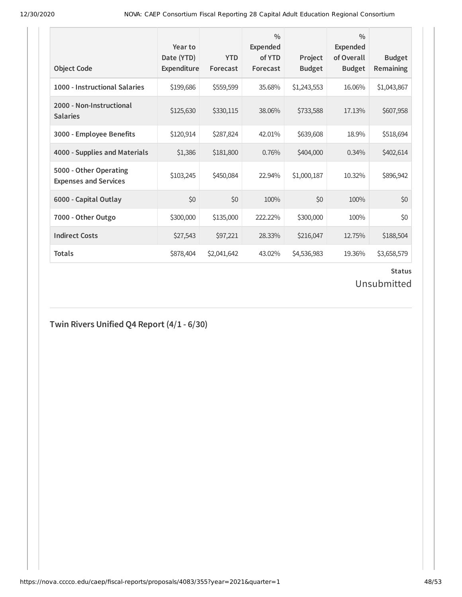| <b>Object Code</b>                                     | Year to<br>Date (YTD)<br><b>Expenditure</b> | <b>YTD</b><br>Forecast | $\frac{0}{0}$<br><b>Expended</b><br>of YTD<br>Forecast | Project<br><b>Budget</b> | $\frac{0}{0}$<br>Expended<br>of Overall<br><b>Budget</b> | <b>Budget</b><br><b>Remaining</b> |
|--------------------------------------------------------|---------------------------------------------|------------------------|--------------------------------------------------------|--------------------------|----------------------------------------------------------|-----------------------------------|
| 1000 - Instructional Salaries                          | \$199,686                                   | \$559,599              | 35.68%                                                 | \$1,243,553              | 16.06%                                                   | \$1,043,867                       |
| 2000 - Non-Instructional<br><b>Salaries</b>            | \$125,630                                   | \$330,115              | 38.06%                                                 | \$733,588                | 17.13%                                                   | \$607,958                         |
| 3000 - Employee Benefits                               | \$120,914                                   | \$287,824              | 42.01%                                                 | \$639,608                | 18.9%                                                    | \$518,694                         |
| 4000 - Supplies and Materials                          | \$1,386                                     | \$181,800              | 0.76%                                                  | \$404,000                | 0.34%                                                    | \$402,614                         |
| 5000 - Other Operating<br><b>Expenses and Services</b> | \$103,245                                   | \$450,084              | 22.94%                                                 | \$1,000,187              | 10.32%                                                   | \$896,942                         |
| 6000 - Capital Outlay                                  | \$0                                         | \$0                    | 100%                                                   | \$0                      | 100%                                                     | \$0                               |
| 7000 - Other Outgo                                     | \$300,000                                   | \$135,000              | 222.22%                                                | \$300,000                | 100%                                                     | \$0                               |
| <b>Indirect Costs</b>                                  | \$27,543                                    | \$97,221               | 28.33%                                                 | \$216,047                | 12.75%                                                   | \$188,504                         |
| <b>Totals</b>                                          | \$878,404                                   | \$2,041,642            | 43.02%                                                 | \$4,536,983              | 19.36%                                                   | \$3,658,579                       |

## Unsubmitted

### **Twin Rivers Unified Q4 Report (4/1 - 6/30)**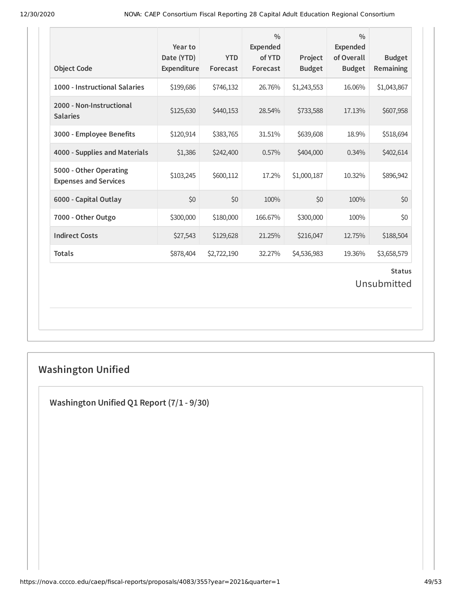| <b>Object Code</b>                                     | Year to<br>Date (YTD)<br>Expenditure | <b>YTD</b><br>Forecast | $\frac{0}{0}$<br>Expended<br>of YTD<br>Forecast | Project<br><b>Budget</b> | $\frac{0}{0}$<br>Expended<br>of Overall<br><b>Budget</b> | <b>Budget</b><br>Remaining   |
|--------------------------------------------------------|--------------------------------------|------------------------|-------------------------------------------------|--------------------------|----------------------------------------------------------|------------------------------|
| 1000 - Instructional Salaries                          | \$199,686                            | \$746,132              | 26.76%                                          | \$1,243,553              | 16.06%                                                   | \$1,043,867                  |
| 2000 - Non-Instructional<br><b>Salaries</b>            | \$125,630                            | \$440,153              | 28.54%                                          | \$733,588                | 17.13%                                                   | \$607,958                    |
| 3000 - Employee Benefits                               | \$120,914                            | \$383,765              | 31.51%                                          | \$639,608                | 18.9%                                                    | \$518,694                    |
| 4000 - Supplies and Materials                          | \$1,386                              | \$242,400              | 0.57%                                           | \$404,000                | 0.34%                                                    | \$402,614                    |
| 5000 - Other Operating<br><b>Expenses and Services</b> | \$103,245                            | \$600,112              | 17.2%                                           | \$1,000,187              | 10.32%                                                   | \$896,942                    |
| 6000 - Capital Outlay                                  | \$0                                  | \$0                    | 100%                                            | \$0                      | 100%                                                     | \$0                          |
| 7000 - Other Outgo                                     | \$300,000                            | \$180,000              | 166.67%                                         | \$300,000                | 100%                                                     | \$0                          |
| <b>Indirect Costs</b>                                  | \$27,543                             | \$129,628              | 21.25%                                          | \$216,047                | 12.75%                                                   | \$188,504                    |
| <b>Totals</b>                                          | \$878,404                            | \$2,722,190            | 32.27%                                          | \$4,536,983              | 19.36%                                                   | \$3,658,579                  |
|                                                        |                                      |                        |                                                 |                          |                                                          | <b>Status</b><br>Unsubmitted |

## **Washington Unified**

**Washington Unified Q1 Report (7/1 - 9/30)**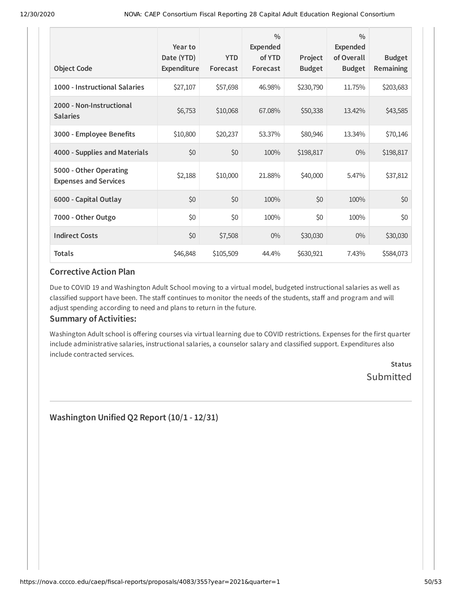| <b>Object Code</b>                                     | Year to<br>Date (YTD)<br>Expenditure | <b>YTD</b><br>Forecast | $\frac{0}{0}$<br>Expended<br>of YTD<br>Forecast | Project<br><b>Budget</b> | $\frac{0}{0}$<br><b>Expended</b><br>of Overall<br><b>Budget</b> | <b>Budget</b><br><b>Remaining</b> |
|--------------------------------------------------------|--------------------------------------|------------------------|-------------------------------------------------|--------------------------|-----------------------------------------------------------------|-----------------------------------|
| 1000 - Instructional Salaries                          | \$27,107                             | \$57,698               | 46.98%                                          | \$230,790                | 11.75%                                                          | \$203,683                         |
| 2000 - Non-Instructional<br><b>Salaries</b>            | \$6,753                              | \$10,068               | 67.08%                                          | \$50,338                 | 13.42%                                                          | \$43,585                          |
| 3000 - Employee Benefits                               | \$10,800                             | \$20,237               | 53.37%                                          | \$80,946                 | 13.34%                                                          | \$70,146                          |
| 4000 - Supplies and Materials                          | \$0                                  | \$0                    | 100%                                            | \$198,817                | $0\%$                                                           | \$198,817                         |
| 5000 - Other Operating<br><b>Expenses and Services</b> | \$2,188                              | \$10,000               | 21.88%                                          | \$40,000                 | 5.47%                                                           | \$37,812                          |
| 6000 - Capital Outlay                                  | \$0                                  | \$0                    | 100%                                            | \$0                      | 100%                                                            | \$0                               |
| 7000 - Other Outgo                                     | \$0                                  | \$0                    | 100%                                            | \$0                      | 100%                                                            | \$0                               |
| <b>Indirect Costs</b>                                  | \$0                                  | \$7,508                | $0\%$                                           | \$30,030                 | $0\%$                                                           | \$30,030                          |
| <b>Totals</b>                                          | \$46,848                             | \$105,509              | 44.4%                                           | \$630,921                | 7.43%                                                           | \$584,073                         |

#### **Corrective Action Plan**

Due to COVID 19 and Washington Adult School moving to a virtual model, budgeted instructional salaries as well as classified support have been. The staff continues to monitor the needs of the students, staff and program and will adjust spending according to need and plans to return in the future.

### **Summary of Activities:**

Washington Adult school is offering courses via virtual learning due to COVID restrictions. Expenses for the first quarter include administrative salaries, instructional salaries, a counselor salary and classified support. Expenditures also include contracted services.

> **Status** Submitted

**Washington Unified Q2 Report (10/1 - 12/31)**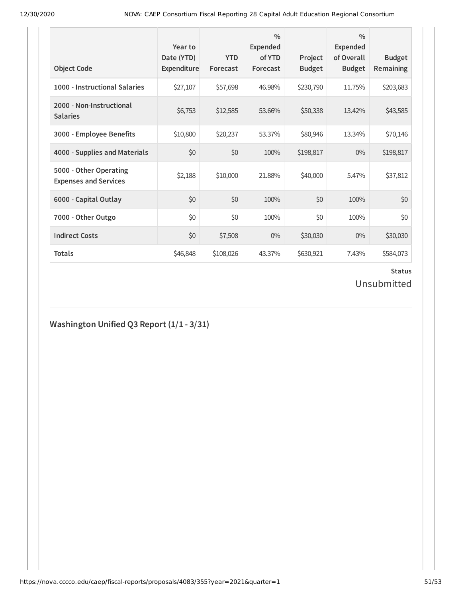| <b>Object Code</b>                                     | Year to<br>Date (YTD)<br>Expenditure | <b>YTD</b><br>Forecast | $\frac{0}{0}$<br>Expended<br>of YTD<br>Forecast | Project<br><b>Budget</b> | $\frac{0}{0}$<br><b>Expended</b><br>of Overall<br><b>Budget</b> | <b>Budget</b><br><b>Remaining</b> |
|--------------------------------------------------------|--------------------------------------|------------------------|-------------------------------------------------|--------------------------|-----------------------------------------------------------------|-----------------------------------|
| 1000 - Instructional Salaries                          | \$27,107                             | \$57,698               | 46.98%                                          | \$230,790                | 11.75%                                                          | \$203,683                         |
| 2000 - Non-Instructional<br><b>Salaries</b>            | \$6,753                              | \$12,585               | 53.66%                                          | \$50,338                 | 13.42%                                                          | \$43,585                          |
| 3000 - Employee Benefits                               | \$10,800                             | \$20,237               | 53.37%                                          | \$80,946                 | 13.34%                                                          | \$70,146                          |
| 4000 - Supplies and Materials                          | \$0                                  | \$0                    | 100%                                            | \$198,817                | $0\%$                                                           | \$198,817                         |
| 5000 - Other Operating<br><b>Expenses and Services</b> | \$2,188                              | \$10,000               | 21.88%                                          | \$40,000                 | 5.47%                                                           | \$37,812                          |
| 6000 - Capital Outlay                                  | \$0                                  | \$0                    | 100%                                            | \$0                      | 100%                                                            | \$0                               |
| 7000 - Other Outgo                                     | \$0                                  | \$0                    | 100%                                            | \$0                      | 100%                                                            | \$0                               |
| <b>Indirect Costs</b>                                  | \$0                                  | \$7,508                | $0\%$                                           | \$30,030                 | $0\%$                                                           | \$30,030                          |
| <b>Totals</b>                                          | \$46,848                             | \$108,026              | 43.37%                                          | \$630,921                | 7.43%                                                           | \$584,073                         |

## Unsubmitted

## **Washington Unified Q3 Report (1/1 - 3/31)**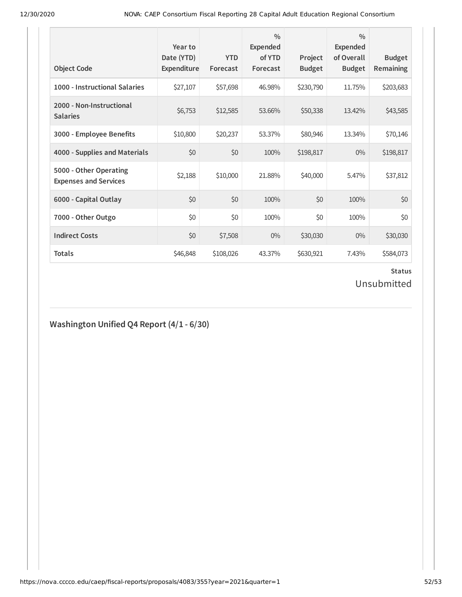| <b>Object Code</b>                                     | Year to<br>Date (YTD)<br>Expenditure | <b>YTD</b><br>Forecast | $\frac{0}{0}$<br>Expended<br>of YTD<br>Forecast | Project<br><b>Budget</b> | $\frac{0}{0}$<br><b>Expended</b><br>of Overall<br><b>Budget</b> | <b>Budget</b><br><b>Remaining</b> |
|--------------------------------------------------------|--------------------------------------|------------------------|-------------------------------------------------|--------------------------|-----------------------------------------------------------------|-----------------------------------|
| 1000 - Instructional Salaries                          | \$27,107                             | \$57,698               | 46.98%                                          | \$230,790                | 11.75%                                                          | \$203,683                         |
| 2000 - Non-Instructional<br><b>Salaries</b>            | \$6,753                              | \$12,585               | 53.66%                                          | \$50,338                 | 13.42%                                                          | \$43,585                          |
| 3000 - Employee Benefits                               | \$10,800                             | \$20,237               | 53.37%                                          | \$80,946                 | 13.34%                                                          | \$70,146                          |
| 4000 - Supplies and Materials                          | \$0                                  | \$0                    | 100%                                            | \$198,817                | $0\%$                                                           | \$198,817                         |
| 5000 - Other Operating<br><b>Expenses and Services</b> | \$2,188                              | \$10,000               | 21.88%                                          | \$40,000                 | 5.47%                                                           | \$37,812                          |
| 6000 - Capital Outlay                                  | \$0                                  | \$0                    | 100%                                            | \$0                      | 100%                                                            | \$0                               |
| 7000 - Other Outgo                                     | \$0                                  | \$0                    | 100%                                            | \$0                      | 100%                                                            | \$0                               |
| <b>Indirect Costs</b>                                  | \$0                                  | \$7,508                | $0\%$                                           | \$30,030                 | $0\%$                                                           | \$30,030                          |
| <b>Totals</b>                                          | \$46,848                             | \$108,026              | 43.37%                                          | \$630,921                | 7.43%                                                           | \$584,073                         |

## Unsubmitted

### **Washington Unified Q4 Report (4/1 - 6/30)**